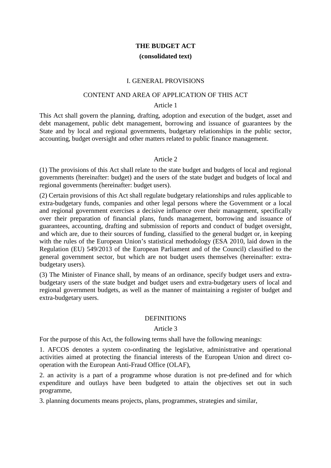# **THE BUDGET ACT (consolidated text)**

## I. GENERAL PROVISIONS

## CONTENT AND AREA OF APPLICATION OF THIS ACT

#### Article 1

This Act shall govern the planning, drafting, adoption and execution of the budget, asset and debt management, public debt management, borrowing and issuance of guarantees by the State and by local and regional governments, budgetary relationships in the public sector. accounting, budget oversight and other matters related to public finance management.

#### Article 2

(1) The provisions of this Act shall relate to the state budget and budgets of local and regional governments (hereinafter: budget) and the users of the state budget and budgets of local and regional governments (hereinafter: budget users).

(2) Certain provisions of this Act shall regulate budgetary relationships and rules applicable to extra-budgetary funds, companies and other legal persons where the Government or a local and regional government exercises a decisive influence over their management, specifically over their preparation of financial plans, funds management, borrowing and issuance of guarantees, accounting, drafting and submission of reports and conduct of budget oversight, and which are, due to their sources of funding, classified to the general budget or, in keeping with the rules of the European Union's statistical methodology (ESA 2010, laid down in the Regulation (EU) 549/2013 of the European Parliament and of the Council) classified to the general government sector, but which are not budget users themselves (hereinafter: extrabudgetary users).

(3) The Minister of Finance shall, by means of an ordinance, specify budget users and extrabudgetary users of the state budget and budget users and extra-budgetary users of local and regional government budgets, as well as the manner of maintaining a register of budget and extra-budgetary users.

### **DEFINITIONS**

### Article 3

For the purpose of this Act, the following terms shall have the following meanings:

1. AFCOS denotes a system co-ordinating the legislative, administrative and operational activities aimed at protecting the financial interests of the European Union and direct cooperation with the European Anti-Fraud Office (OLAF),

2. an activity is a part of a programme whose duration is not pre-defined and for which expenditure and outlays have been budgeted to attain the objectives set out in such programme,

3. planning documents means projects, plans, programmes, strategies and similar,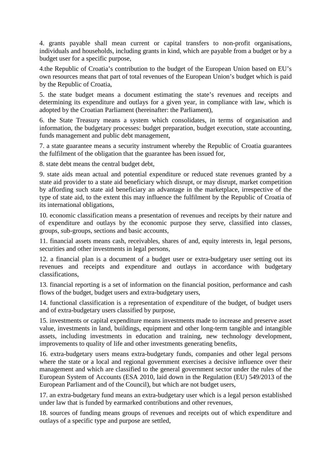4. grants payable shall mean current or capital transfers to non-profit organisations, individuals and households, including grants in kind, which are payable from a budget or by a budget user for a specific purpose,

4.the Republic of Croatia's contribution to the budget of the European Union based on EU's own resources means that part of total revenues of the European Union's budget which is paid by the Republic of Croatia,

5. the state budget means a document estimating the state's revenues and receipts and determining its expenditure and outlays for a given year, in compliance with law, which is adopted by the Croatian Parliament (hereinafter: the Parliament),

6. the State Treasury means a system which consolidates, in terms of organisation and information, the budgetary processes: budget preparation, budget execution, state accounting, funds management and public debt management,

7. a state guarantee means a security instrument whereby the Republic of Croatia guarantees the fulfilment of the obligation that the guarantee has been issued for,

8. state debt means the central budget debt,

9. state aids mean actual and potential expenditure or reduced state revenues granted by a state aid provider to a state aid beneficiary which disrupt, or may disrupt, market competition by affording such state aid beneficiary an advantage in the marketplace, irrespective of the type of state aid, to the extent this may influence the fulfilment by the Republic of Croatia of its international obligations,

10. economic classification means a presentation of revenues and receipts by their nature and of expenditure and outlays by the economic purpose they serve, classified into classes, groups, sub-groups, sections and basic accounts,

11. financial assets means cash, receivables, shares of and, equity interests in, legal persons, securities and other investments in legal persons,

12. a financial plan is a document of a budget user or extra-budgetary user setting out its revenues and receipts and expenditure and outlays in accordance with budgetary classifications,

13. financial reporting is a set of information on the financial position, performance and cash flows of the budget, budget users and extra-budgetary users,

14. functional classification is a representation of expenditure of the budget, of budget users and of extra-budgetary users classified by purpose,

15. investments or capital expenditure means investments made to increase and preserve asset value, investments in land, buildings, equipment and other long-term tangible and intangible assets, including investments in education and training, new technology development, improvements to quality of life and other investments generating benefits,

16. extra-budgetary users means extra-budgetary funds, companies and other legal persons where the state or a local and regional government exercises a decisive influence over their management and which are classified to the general government sector under the rules of the European System of Accounts (ESA 2010, laid down in the Regulation (EU) 549/2013 of the European Parliament and of the Council), but which are not budget users,

17. an extra-budgetary fund means an extra-budgetary user which is a legal person established under law that is funded by earmarked contributions and other revenues,

18. sources of funding means groups of revenues and receipts out of which expenditure and outlays of a specific type and purpose are settled,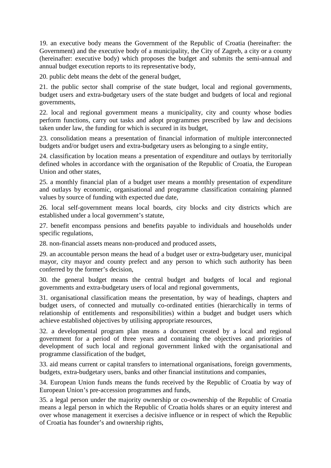19. an executive body means the Government of the Republic of Croatia (hereinafter: the Government) and the executive body of a municipality, the City of Zagreb, a city or a county (hereinafter: executive body) which proposes the budget and submits the semi-annual and annual budget execution reports to its representative body,

20. public debt means the debt of the general budget,

21. the public sector shall comprise of the state budget, local and regional governments, budget users and extra-budgetary users of the state budget and budgets of local and regional governments,

22. local and regional government means a municipality, city and county whose bodies perform functions, carry out tasks and adopt programmes prescribed by law and decisions taken under law, the funding for which is secured in its budget,

23. consolidation means a presentation of financial information of multiple interconnected budgets and/or budget users and extra-budgetary users as belonging to a single entity,

24. classification by location means a presentation of expenditure and outlays by territorially defined wholes in accordance with the organisation of the Republic of Croatia, the European Union and other states,

25. a monthly financial plan of a budget user means a monthly presentation of expenditure and outlays by economic, organisational and programme classification containing planned values by source of funding with expected due date,

26. local self-government means local boards, city blocks and city districts which are established under a local government's statute,

27. benefit encompass pensions and benefits payable to individuals and households under specific regulations,

28. non-financial assets means non-produced and produced assets,

29. an accountable person means the head of a budget user or extra-budgetary user, municipal mayor, city mayor and county prefect and any person to which such authority has been conferred by the former's decision,

30. the general budget means the central budget and budgets of local and regional governments and extra-budgetary users of local and regional governments,

31. organisational classification means the presentation, by way of headings, chapters and budget users, of connected and mutually co-ordinated entities (hierarchically in terms of relationship of entitlements and responsibilities) within a budget and budget users which achieve established objectives by utilising appropriate resources,

32. a developmental program plan means a document created by a local and regional government for a period of three years and containing the objectives and priorities of development of such local and regional government linked with the organisational and programme classification of the budget,

33. aid means current or capital transfers to international organisations, foreign governments, budgets, extra-budgetary users, banks and other financial institutions and companies,

34. European Union funds means the funds received by the Republic of Croatia by way of European Union's pre-accession programmes and funds,

35. a legal person under the majority ownership or co-ownership of the Republic of Croatia means a legal person in which the Republic of Croatia holds shares or an equity interest and over whose management it exercises a decisive influence or in respect of which the Republic of Croatia has founder's and ownership rights,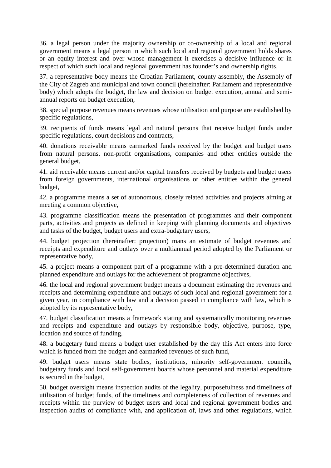36. a legal person under the majority ownership or co-ownership of a local and regional government means a legal person in which such local and regional government holds shares or an equity interest and over whose management it exercises a decisive influence or in respect of which such local and regional government has founder's and ownership rights,

37. a representative body means the Croatian Parliament, county assembly, the Assembly of the City of Zagreb and municipal and town council (hereinafter: Parliament and representative body) which adopts the budget, the law and decision on budget execution, annual and semiannual reports on budget execution,

38. special purpose revenues means revenues whose utilisation and purpose are established by specific regulations,

39. recipients of funds means legal and natural persons that receive budget funds under specific regulations, court decisions and contracts,

40. donations receivable means earmarked funds received by the budget and budget users from natural persons, non-profit organisations, companies and other entities outside the general budget,

41. aid receivable means current and/or capital transfers received by budgets and budget users from foreign governments, international organisations or other entities within the general budget,

42. a programme means a set of autonomous, closely related activities and projects aiming at meeting a common objective,

43. programme classification means the presentation of programmes and their component parts, activities and projects as defined in keeping with planning documents and objectives and tasks of the budget, budget users and extra-budgetary users,

44. budget projection (hereinafter: projection) mans an estimate of budget revenues and receipts and expenditure and outlays over a multiannual period adopted by the Parliament or representative body,

45. a project means a component part of a programme with a pre-determined duration and planned expenditure and outlays for the achievement of programme objectives,

46. the local and regional government budget means a document estimating the revenues and receipts and determining expenditure and outlays of such local and regional government for a given year, in compliance with law and a decision passed in compliance with law, which is adopted by its representative body,

47. budget classification means a framework stating and systematically monitoring revenues and receipts and expenditure and outlays by responsible body, objective, purpose, type, location and source of funding,

48. a budgetary fund means a budget user established by the day this Act enters into force which is funded from the budget and earmarked revenues of such fund,

49. budget users means state bodies, institutions, minority self-government councils, budgetary funds and local self-government boards whose personnel and material expenditure is secured in the budget,

50. budget oversight means inspection audits of the legality, purposefulness and timeliness of utilisation of budget funds, of the timeliness and completeness of collection of revenues and receipts within the purview of budget users and local and regional government bodies and inspection audits of compliance with, and application of, laws and other regulations, which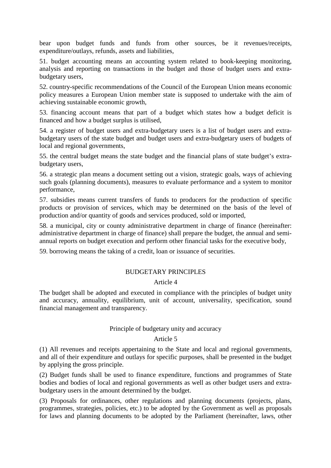bear upon budget funds and funds from other sources, be it revenues/receipts, expenditure/outlays, refunds, assets and liabilities,

51. budget accounting means an accounting system related to book-keeping monitoring, analysis and reporting on transactions in the budget and those of budget users and extrabudgetary users,

52. country-specific recommendations of the Council of the European Union means economic policy measures a European Union member state is supposed to undertake with the aim of achieving sustainable economic growth,

53. financing account means that part of a budget which states how a budget deficit is financed and how a budget surplus is utilised,

54. a register of budget users and extra-budgetary users is a list of budget users and extrabudgetary users of the state budget and budget users and extra-budgetary users of budgets of local and regional governments,

55. the central budget means the state budget and the financial plans of state budget's extrabudgetary users,

56. a strategic plan means a document setting out a vision, strategic goals, ways of achieving such goals (planning documents), measures to evaluate performance and a system to monitor performance,

57. subsidies means current transfers of funds to producers for the production of specific products or provision of services, which may be determined on the basis of the level of production and/or quantity of goods and services produced, sold or imported,

58. a municipal, city or county administrative department in charge of finance (hereinafter: administrative department in charge of finance) shall prepare the budget, the annual and semiannual reports on budget execution and perform other financial tasks for the executive body,

59. borrowing means the taking of a credit, loan or issuance of securities.

### BUDGETARY PRINCIPLES

#### Article 4

The budget shall be adopted and executed in compliance with the principles of budget unity and accuracy, annuality, equilibrium, unit of account, universality, specification, sound financial management and transparency.

### Principle of budgetary unity and accuracy

#### Article 5

(1) All revenues and receipts appertaining to the State and local and regional governments, and all of their expenditure and outlays for specific purposes, shall be presented in the budget by applying the gross principle.

(2) Budget funds shall be used to finance expenditure, functions and programmes of State bodies and bodies of local and regional governments as well as other budget users and extrabudgetary users in the amount determined by the budget.

(3) Proposals for ordinances, other regulations and planning documents (projects, plans, programmes, strategies, policies, etc.) to be adopted by the Government as well as proposals for laws and planning documents to be adopted by the Parliament (hereinafter, laws, other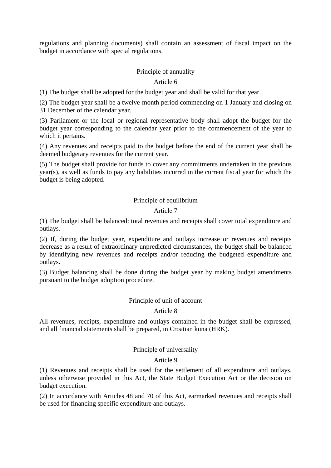regulations and planning documents) shall contain an assessment of fiscal impact on the budget in accordance with special regulations.

# Principle of annuality

### Article 6

(1) The budget shall be adopted for the budget year and shall be valid for that year.

(2) The budget year shall be a twelve-month period commencing on 1 January and closing on 31 December of the calendar year.

(3) Parliament or the local or regional representative body shall adopt the budget for the budget year corresponding to the calendar year prior to the commencement of the year to which it pertains.

(4) Any revenues and receipts paid to the budget before the end of the current year shall be deemed budgetary revenues for the current year.

(5) The budget shall provide for funds to cover any commitments undertaken in the previous year(s), as well as funds to pay any liabilities incurred in the current fiscal year for which the budget is being adopted.

# Principle of equilibrium

### Article 7

(1) The budget shall be balanced: total revenues and receipts shall cover total expenditure and outlays.

(2) If, during the budget year, expenditure and outlays increase or revenues and receipts decrease as a result of extraordinary unpredicted circumstances, the budget shall be balanced by identifying new revenues and receipts and/or reducing the budgeted expenditure and outlays.

(3) Budget balancing shall be done during the budget year by making budget amendments pursuant to the budget adoption procedure.

#### Principle of unit of account

#### Article 8

All revenues, receipts, expenditure and outlays contained in the budget shall be expressed, and all financial statements shall be prepared, in Croatian kuna (HRK).

## Principle of universality

#### Article 9

(1) Revenues and receipts shall be used for the settlement of all expenditure and outlays, unless otherwise provided in this Act, the State Budget Execution Act or the decision on budget execution.

(2) In accordance with Articles 48 and 70 of this Act, earmarked revenues and receipts shall be used for financing specific expenditure and outlays.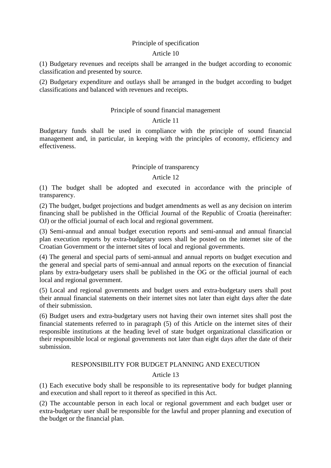## Principle of specification

## Article 10

(1) Budgetary revenues and receipts shall be arranged in the budget according to economic classification and presented by source.

(2) Budgetary expenditure and outlays shall be arranged in the budget according to budget classifications and balanced with revenues and receipts.

# Principle of sound financial management

# Article 11

Budgetary funds shall be used in compliance with the principle of sound financial management and, in particular, in keeping with the principles of economy, efficiency and effectiveness.

# Principle of transparency

# Article 12

(1) The budget shall be adopted and executed in accordance with the principle of transparency.

(2) The budget, budget projections and budget amendments as well as any decision on interim financing shall be published in the Official Journal of the Republic of Croatia (hereinafter: OJ) or the official journal of each local and regional government.

(3) Semi-annual and annual budget execution reports and semi-annual and annual financial plan execution reports by extra-budgetary users shall be posted on the internet site of the Croatian Government or the internet sites of local and regional governments.

(4) The general and special parts of semi-annual and annual reports on budget execution and the general and special parts of semi-annual and annual reports on the execution of financial plans by extra-budgetary users shall be published in the OG or the official journal of each local and regional government.

(5) Local and regional governments and budget users and extra-budgetary users shall post their annual financial statements on their internet sites not later than eight days after the date of their submission.

(6) Budget users and extra-budgetary users not having their own internet sites shall post the financial statements referred to in paragraph (5) of this Article on the internet sites of their responsible institutions at the heading level of state budget organizational classification or their responsible local or regional governments not later than eight days after the date of their submission.

# RESPONSIBILITY FOR BUDGET PLANNING AND EXECUTION

# Article 13

(1) Each executive body shall be responsible to its representative body for budget planning and execution and shall report to it thereof as specified in this Act.

(2) The accountable person in each local or regional government and each budget user or extra-budgetary user shall be responsible for the lawful and proper planning and execution of the budget or the financial plan.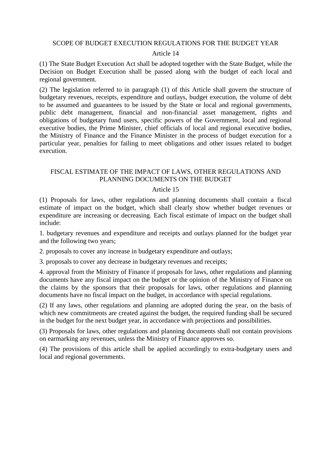#### SCOPE OF BUDGET EXECUTION REGULATIONS FOR THE BUDGET YEAR

#### Article 14

(1) The State Budget Execution Act shall be adopted together with the State Budget, while the Decision on Budget Execution shall be passed along with the budget of each local and regional government.

(2) The legislation referred to in paragraph (1) of this Article shall govern the structure of budgetary revenues, receipts, expenditure and outlays, budget execution, the volume of debt to be assumed and guarantees to be issued by the State or local and regional governments, public debt management, financial and non-financial asset management, rights and obligations of budgetary fund users, specific powers of the Government, local and regional executive bodies, the Prime Minister, chief officials of local and regional executive bodies, the Ministry of Finance and the Finance Minister in the process of budget execution for a particular year, penalties for failing to meet obligations and other issues related to budget execution.

#### FISCAL ESTIMATE OF THE IMPACT OF LAWS, OTHER REGULATIONS AND PLANNING DOCUMENTS ON THE BUDGET

#### Article 15

(1) Proposals for laws, other regulations and planning documents shall contain a fiscal estimate of impact on the budget, which shall clearly show whether budget revenues or expenditure are increasing or decreasing. Each fiscal estimate of impact on the budget shall include:

1. budgetary revenues and expenditure and receipts and outlays planned for the budget year and the following two years;

2. proposals to cover any increase in budgetary expenditure and outlays;

3. proposals to cover any decrease in budgetary revenues and receipts;

4. approval from the Ministry of Finance if proposals for laws, other regulations and planning documents have any fiscal impact on the budget or the opinion of the Ministry of Finance on the claims by the sponsors that their proposals for laws, other regulations and planning documents have no fiscal impact on the budget, in accordance with special regulations.

(2) If any laws, other regulations and planning are adopted during the year, on the basis of which new commitments are created against the budget, the required funding shall be secured in the budget for the next budget year, in accordance with projections and possibilities.

(3) Proposals for laws, other regulations and planning documents shall not contain provisions on earmarking any revenues, unless the Ministry of Finance approves so.

(4) The provisions of this article shall be applied accordingly to extra-budgetary users and local and regional governments.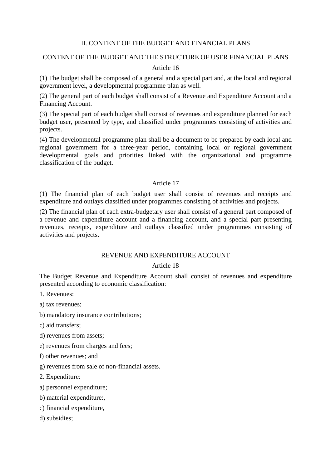## II. CONTENT OF THE BUDGET AND FINANCIAL PLANS

# CONTENT OF THE BUDGET AND THE STRUCTURE OF USER FINANCIAL PLANS

## Article 16

(1) The budget shall be composed of a general and a special part and, at the local and regional government level, a developmental programme plan as well.

(2) The general part of each budget shall consist of a Revenue and Expenditure Account and a Financing Account.

(3) The special part of each budget shall consist of revenues and expenditure planned for each budget user, presented by type, and classified under programmes consisting of activities and projects.

(4) The developmental programme plan shall be a document to be prepared by each local and regional government for a three-year period, containing local or regional government developmental goals and priorities linked with the organizational and programme classification of the budget.

# Article 17

(1) The financial plan of each budget user shall consist of revenues and receipts and expenditure and outlays classified under programmes consisting of activities and projects.

(2) The financial plan of each extra-budgetary user shall consist of a general part composed of a revenue and expenditure account and a financing account, and a special part presenting revenues, receipts, expenditure and outlays classified under programmes consisting of activities and projects.

### REVENUE AND EXPENDITURE ACCOUNT

### Article 18

The Budget Revenue and Expenditure Account shall consist of revenues and expenditure presented according to economic classification:

1. Revenues:

a) tax revenues;

- b) mandatory insurance contributions;
- c) aid transfers;
- d) revenues from assets;
- e) revenues from charges and fees;
- f) other revenues; and
- g) revenues from sale of non-financial assets.
- 2. Expenditure:
- a) personnel expenditure;
- b) material expenditure:,
- c) financial expenditure,
- d) subsidies;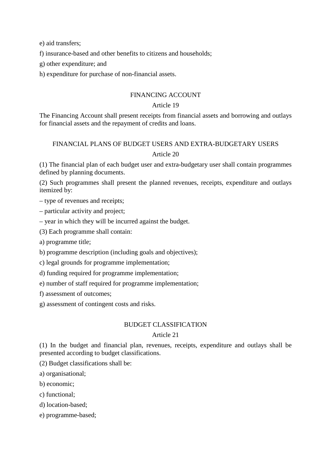e) aid transfers;

- f) insurance-based and other benefits to citizens and households;
- g) other expenditure; and
- h) expenditure for purchase of non-financial assets.

# FINANCING ACCOUNT

# Article 19

The Financing Account shall present receipts from financial assets and borrowing and outlays for financial assets and the repayment of credits and loans.

# FINANCIAL PLANS OF BUDGET USERS AND EXTRA-BUDGETARY USERS Article 20

(1) The financial plan of each budget user and extra-budgetary user shall contain programmes defined by planning documents.

(2) Such programmes shall present the planned revenues, receipts, expenditure and outlays itemized by:

– type of revenues and receipts;

– particular activity and project;

– year in which they will be incurred against the budget.

(3) Each programme shall contain:

a) programme title;

b) programme description (including goals and objectives);

c) legal grounds for programme implementation;

d) funding required for programme implementation;

e) number of staff required for programme implementation;

f) assessment of outcomes;

g) assessment of contingent costs and risks.

# BUDGET CLASSIFICATION

# Article 21

(1) In the budget and financial plan, revenues, receipts, expenditure and outlays shall be presented according to budget classifications.

(2) Budget classifications shall be:

a) organisational;

- b) economic;
- c) functional;

d) location-based;

e) programme-based;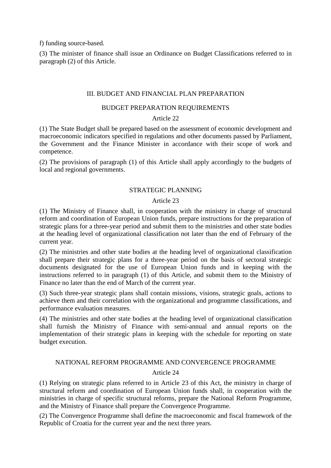f) funding source-based.

(3) The minister of finance shall issue an Ordinance on Budget Classifications referred to in paragraph (2) of this Article.

#### III. BUDGET AND FINANCIAL PLAN PREPARATION

#### BUDGET PREPARATION REQUIREMENTS

### Article 22

(1) The State Budget shall be prepared based on the assessment of economic development and macroeconomic indicators specified in regulations and other documents passed by Parliament, the Government and the Finance Minister in accordance with their scope of work and competence.

(2) The provisions of paragraph (1) of this Article shall apply accordingly to the budgets of local and regional governments.

### STRATEGIC PLANNING

#### Article 23

(1) The Ministry of Finance shall, in cooperation with the ministry in charge of structural reform and coordination of European Union funds, prepare instructions for the preparation of strategic plans for a three-year period and submit them to the ministries and other state bodies at the heading level of organizational classification not later than the end of February of the current year.

(2) The ministries and other state bodies at the heading level of organizational classification shall prepare their strategic plans for a three-year period on the basis of sectoral strategic documents designated for the use of European Union funds and in keeping with the instructions referred to in paragraph (1) of this Article, and submit them to the Ministry of Finance no later than the end of March of the current year.

(3) Such three-year strategic plans shall contain missions, visions, strategic goals, actions to achieve them and their correlation with the organizational and programme classifications, and performance evaluation measures.

(4) The ministries and other state bodies at the heading level of organizational classification shall furnish the Ministry of Finance with semi-annual and annual reports on the implementation of their strategic plans in keeping with the schedule for reporting on state budget execution.

# NATIONAL REFORM PROGRAMME AND CONVERGENCE PROGRAMME Article 24

(1) Relying on strategic plans referred to in Article 23 of this Act, the ministry in charge of structural reform and coordination of European Union funds shall, in cooperation with the ministries in charge of specific structural reforms, prepare the National Reform Programme, and the Ministry of Finance shall prepare the Convergence Programme.

(2) The Convergence Programme shall define the macroeconomic and fiscal framework of the Republic of Croatia for the current year and the next three years.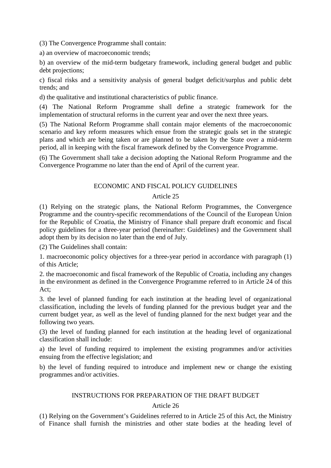(3) The Convergence Programme shall contain:

a) an overview of macroeconomic trends;

b) an overview of the mid-term budgetary framework, including general budget and public debt projections;

c) fiscal risks and a sensitivity analysis of general budget deficit/surplus and public debt trends; and

d) the qualitative and institutional characteristics of public finance.

(4) The National Reform Programme shall define a strategic framework for the implementation of structural reforms in the current year and over the next three years.

(5) The National Reform Programme shall contain major elements of the macroeconomic scenario and key reform measures which ensue from the strategic goals set in the strategic plans and which are being taken or are planned to be taken by the State over a mid-term period, all in keeping with the fiscal framework defined by the Convergence Programme.

(6) The Government shall take a decision adopting the National Reform Programme and the Convergence Programme no later than the end of April of the current year.

# ECONOMIC AND FISCAL POLICY GUIDELINES

# Article 25

(1) Relying on the strategic plans, the National Reform Programmes, the Convergence Programme and the country-specific recommendations of the Council of the European Union for the Republic of Croatia, the Ministry of Finance shall prepare draft economic and fiscal policy guidelines for a three-year period (hereinafter: Guidelines) and the Government shall adopt them by its decision no later than the end of July.

(2) The Guidelines shall contain:

1. macroeconomic policy objectives for a three-year period in accordance with paragraph (1) of this Article;

2. the macroeconomic and fiscal framework of the Republic of Croatia, including any changes in the environment as defined in the Convergence Programme referred to in Article 24 of this Act;

3. the level of planned funding for each institution at the heading level of organizational classification, including the levels of funding planned for the previous budget year and the current budget year, as well as the level of funding planned for the next budget year and the following two years.

(3) the level of funding planned for each institution at the heading level of organizational classification shall include:

a) the level of funding required to implement the existing programmes and/or activities ensuing from the effective legislation; and

b) the level of funding required to introduce and implement new or change the existing programmes and/or activities.

## INSTRUCTIONS FOR PREPARATION OF THE DRAFT BUDGET

# Article 26

(1) Relying on the Government's Guidelines referred to in Article 25 of this Act, the Ministry of Finance shall furnish the ministries and other state bodies at the heading level of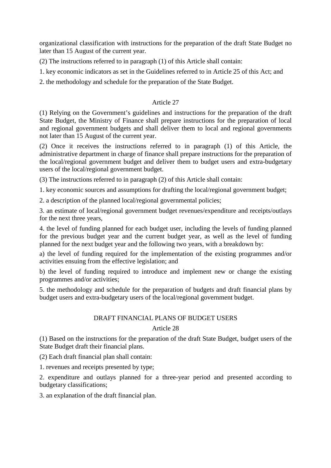organizational classification with instructions for the preparation of the draft State Budget no later than 15 August of the current year.

(2) The instructions referred to in paragraph (1) of this Article shall contain:

1. key economic indicators as set in the Guidelines referred to in Article 25 of this Act; and

2. the methodology and schedule for the preparation of the State Budget.

## Article 27

(1) Relying on the Government's guidelines and instructions for the preparation of the draft State Budget, the Ministry of Finance shall prepare instructions for the preparation of local and regional government budgets and shall deliver them to local and regional governments not later than 15 August of the current year.

(2) Once it receives the instructions referred to in paragraph (1) of this Article, the administrative department in charge of finance shall prepare instructions for the preparation of the local/regional government budget and deliver them to budget users and extra-budgetary users of the local/regional government budget.

(3) The instructions referred to in paragraph (2) of this Article shall contain:

1. key economic sources and assumptions for drafting the local/regional government budget;

2. a description of the planned local/regional governmental policies;

3. an estimate of local/regional government budget revenues/expenditure and receipts/outlays for the next three years,

4. the level of funding planned for each budget user, including the levels of funding planned for the previous budget year and the current budget year, as well as the level of funding planned for the next budget year and the following two years, with a breakdown by:

a) the level of funding required for the implementation of the existing programmes and/or activities ensuing from the effective legislation; and

b) the level of funding required to introduce and implement new or change the existing programmes and/or activities;

5. the methodology and schedule for the preparation of budgets and draft financial plans by budget users and extra-budgetary users of the local/regional government budget.

### DRAFT FINANCIAL PLANS OF BUDGET USERS

### Article 28

(1) Based on the instructions for the preparation of the draft State Budget, budget users of the State Budget draft their financial plans.

(2) Each draft financial plan shall contain:

1. revenues and receipts presented by type;

2. expenditure and outlays planned for a three-year period and presented according to budgetary classifications;

3. an explanation of the draft financial plan.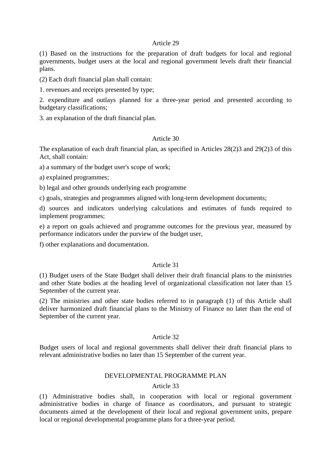#### Article 29

(1) Based on the instructions for the preparation of draft budgets for local and regional governments, budget users at the local and regional government levels draft their financial plans.

(2) Each draft financial plan shall contain:

1. revenues and receipts presented by type;

2. expenditure and outlays planned for a three-year period and presented according to budgetary classifications;

3. an explanation of the draft financial plan.

## Article 30

The explanation of each draft financial plan, as specified in Articles 28(2)3 and 29(2)3 of this Act, shall contain:

a) a summary of the budget user's scope of work;

a) explained programmes;

b) legal and other grounds underlying each programme

c) goals, strategies and programmes aligned with long-term development documents;

d) sources and indicators underlying calculations and estimates of funds required to implement programmes;

e) a report on goals achieved and programme outcomes for the previous year, measured by performance indicators under the purview of the budget user,

f) other explanations and documentation.

## Article 31

(1) Budget users of the State Budget shall deliver their draft financial plans to the ministries and other State bodies at the heading level of organizational classification not later than 15 September of the current year.

(2) The ministries and other state bodies referred to in paragraph (1) of this Article shall deliver harmonized draft financial plans to the Ministry of Finance no later than the end of September of the current year.

### Article 32

Budget users of local and regional governments shall deliver their draft financial plans to relevant administrative bodies no later than 15 September of the current year.

#### DEVELOPMENTAL PROGRAMME PLAN

## Article 33

(1) Administrative bodies shall, in cooperation with local or regional government administrative bodies in charge of finance as coordinators, and pursuant to strategic documents aimed at the development of their local and regional government units, prepare local or regional developmental programme plans for a three-year period.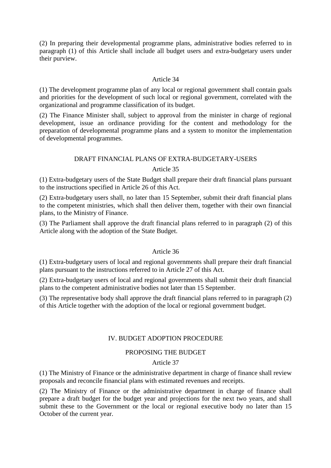(2) In preparing their developmental programme plans, administrative bodies referred to in paragraph (1) of this Article shall include all budget users and extra-budgetary users under their purview.

# Article 34

(1) The development programme plan of any local or regional government shall contain goals and priorities for the development of such local or regional government, correlated with the organizational and programme classification of its budget.

(2) The Finance Minister shall, subject to approval from the minister in charge of regional development, issue an ordinance providing for the content and methodology for the preparation of developmental programme plans and a system to monitor the implementation of developmental programmes.

# DRAFT FINANCIAL PLANS OF EXTRA-BUDGETARY-USERS Article 35

(1) Extra-budgetary users of the State Budget shall prepare their draft financial plans pursuant to the instructions specified in Article 26 of this Act.

(2) Extra-budgetary users shall, no later than 15 September, submit their draft financial plans to the competent ministries, which shall then deliver them, together with their own financial plans, to the Ministry of Finance.

(3) The Parliament shall approve the draft financial plans referred to in paragraph (2) of this Article along with the adoption of the State Budget.

# Article 36

(1) Extra-budgetary users of local and regional governments shall prepare their draft financial plans pursuant to the instructions referred to in Article 27 of this Act.

(2) Extra-budgetary users of local and regional governments shall submit their draft financial plans to the competent administrative bodies not later than 15 September.

(3) The representative body shall approve the draft financial plans referred to in paragraph (2) of this Article together with the adoption of the local or regional government budget.

# IV. BUDGET ADOPTION PROCEDURE

# PROPOSING THE BUDGET

### Article 37

(1) The Ministry of Finance or the administrative department in charge of finance shall review proposals and reconcile financial plans with estimated revenues and receipts.

(2) The Ministry of Finance or the administrative department in charge of finance shall prepare a draft budget for the budget year and projections for the next two years, and shall submit these to the Government or the local or regional executive body no later than 15 October of the current year.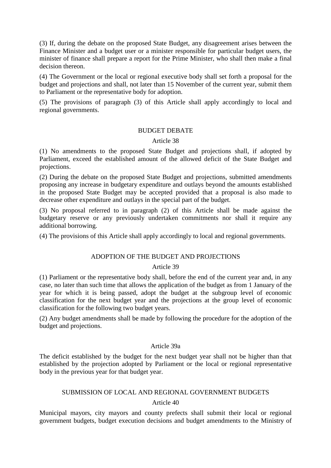(3) If, during the debate on the proposed State Budget, any disagreement arises between the Finance Minister and a budget user or a minister responsible for particular budget users, the minister of finance shall prepare a report for the Prime Minister, who shall then make a final decision thereon.

(4) The Government or the local or regional executive body shall set forth a proposal for the budget and projections and shall, not later than 15 November of the current year, submit them to Parliament or the representative body for adoption.

(5) The provisions of paragraph (3) of this Article shall apply accordingly to local and regional governments.

#### BUDGET DEBATE

#### Article 38

(1) No amendments to the proposed State Budget and projections shall, if adopted by Parliament, exceed the established amount of the allowed deficit of the State Budget and projections.

(2) During the debate on the proposed State Budget and projections, submitted amendments proposing any increase in budgetary expenditure and outlays beyond the amounts established in the proposed State Budget may be accepted provided that a proposal is also made to decrease other expenditure and outlays in the special part of the budget.

(3) No proposal referred to in paragraph (2) of this Article shall be made against the budgetary reserve or any previously undertaken commitments nor shall it require any additional borrowing.

(4) The provisions of this Article shall apply accordingly to local and regional governments.

# ADOPTION OF THE BUDGET AND PROJECTIONS

### Article 39

(1) Parliament or the representative body shall, before the end of the current year and, in any case, no later than such time that allows the application of the budget as from 1 January of the year for which it is being passed, adopt the budget at the subgroup level of economic classification for the next budget year and the projections at the group level of economic classification for the following two budget years.

(2) Any budget amendments shall be made by following the procedure for the adoption of the budget and projections.

### Article 39a

The deficit established by the budget for the next budget year shall not be higher than that established by the projection adopted by Parliament or the local or regional representative body in the previous year for that budget year.

# SUBMISSION OF LOCAL AND REGIONAL GOVERNMENT BUDGETS Article 40

Municipal mayors, city mayors and county prefects shall submit their local or regional government budgets, budget execution decisions and budget amendments to the Ministry of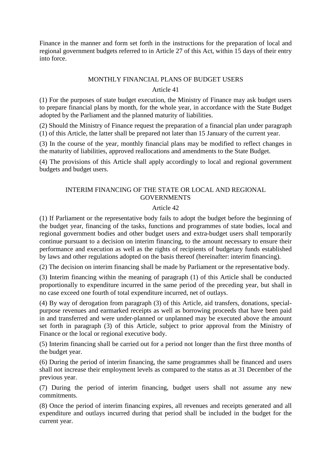Finance in the manner and form set forth in the instructions for the preparation of local and regional government budgets referred to in Article 27 of this Act, within 15 days of their entry into force.

## MONTHLY FINANCIAL PLANS OF BUDGET USERS

# Article 41

(1) For the purposes of state budget execution, the Ministry of Finance may ask budget users to prepare financial plans by month, for the whole year, in accordance with the State Budget adopted by the Parliament and the planned maturity of liabilities.

(2) Should the Ministry of Finance request the preparation of a financial plan under paragraph (1) of this Article, the latter shall be prepared not later than 15 January of the current year.

(3) In the course of the year, monthly financial plans may be modified to reflect changes in the maturity of liabilities, approved reallocations and amendments to the State Budget.

(4) The provisions of this Article shall apply accordingly to local and regional government budgets and budget users.

# INTERIM FINANCING OF THE STATE OR LOCAL AND REGIONAL GOVERNMENTS

# Article 42

(1) If Parliament or the representative body fails to adopt the budget before the beginning of the budget year, financing of the tasks, functions and programmes of state bodies, local and regional government bodies and other budget users and extra-budget users shall temporarily continue pursuant to a decision on interim financing, to the amount necessary to ensure their performance and execution as well as the rights of recipients of budgetary funds established by laws and other regulations adopted on the basis thereof (hereinafter: interim financing).

(2) The decision on interim financing shall be made by Parliament or the representative body.

(3) Interim financing within the meaning of paragraph (1) of this Article shall be conducted proportionally to expenditure incurred in the same period of the preceding year, but shall in no case exceed one fourth of total expenditure incurred, net of outlays.

(4) By way of derogation from paragraph (3) of this Article, aid transfers, donations, specialpurpose revenues and earmarked receipts as well as borrowing proceeds that have been paid in and transferred and were under-planned or unplanned may be executed above the amount set forth in paragraph (3) of this Article, subject to prior approval from the Ministry of Finance or the local or regional executive body.

(5) Interim financing shall be carried out for a period not longer than the first three months of the budget year.

(6) During the period of interim financing, the same programmes shall be financed and users shall not increase their employment levels as compared to the status as at 31 December of the previous year.

(7) During the period of interim financing, budget users shall not assume any new commitments.

(8) Once the period of interim financing expires, all revenues and receipts generated and all expenditure and outlays incurred during that period shall be included in the budget for the current year.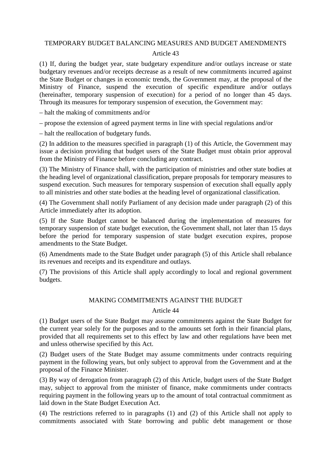## TEMPORARY BUDGET BALANCING MEASURES AND BUDGET AMENDMENTS

#### Article 43

(1) If, during the budget year, state budgetary expenditure and/or outlays increase or state budgetary revenues and/or receipts decrease as a result of new commitments incurred against the State Budget or changes in economic trends, the Government may, at the proposal of the Ministry of Finance, suspend the execution of specific expenditure and/or outlays (hereinafter, temporary suspension of execution) for a period of no longer than 45 days. Through its measures for temporary suspension of execution, the Government may:

– halt the making of commitments and/or

– propose the extension of agreed payment terms in line with special regulations and/or

– halt the reallocation of budgetary funds.

(2) In addition to the measures specified in paragraph (1) of this Article, the Government may issue a decision providing that budget users of the State Budget must obtain prior approval from the Ministry of Finance before concluding any contract.

(3) The Ministry of Finance shall, with the participation of ministries and other state bodies at the heading level of organizational classification, prepare proposals for temporary measures to suspend execution. Such measures for temporary suspension of execution shall equally apply to all ministries and other state bodies at the heading level of organizational classification.

(4) The Government shall notify Parliament of any decision made under paragraph (2) of this Article immediately after its adoption.

(5) If the State Budget cannot be balanced during the implementation of measures for temporary suspension of state budget execution, the Government shall, not later than 15 days before the period for temporary suspension of state budget execution expires, propose amendments to the State Budget.

(6) Amendments made to the State Budget under paragraph (5) of this Article shall rebalance its revenues and receipts and its expenditure and outlays.

(7) The provisions of this Article shall apply accordingly to local and regional government budgets.

### MAKING COMMITMENTS AGAINST THE BUDGET

#### Article 44

(1) Budget users of the State Budget may assume commitments against the State Budget for the current year solely for the purposes and to the amounts set forth in their financial plans, provided that all requirements set to this effect by law and other regulations have been met and unless otherwise specified by this Act.

(2) Budget users of the State Budget may assume commitments under contracts requiring payment in the following years, but only subject to approval from the Government and at the proposal of the Finance Minister.

(3) By way of derogation from paragraph (2) of this Article, budget users of the State Budget may, subject to approval from the minister of finance, make commitments under contracts requiring payment in the following years up to the amount of total contractual commitment as laid down in the State Budget Execution Act.

(4) The restrictions referred to in paragraphs (1) and (2) of this Article shall not apply to commitments associated with State borrowing and public debt management or those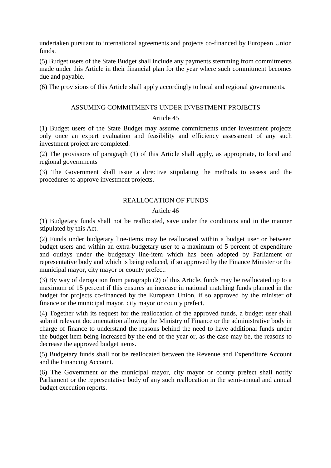undertaken pursuant to international agreements and projects co-financed by European Union funds.

(5) Budget users of the State Budget shall include any payments stemming from commitments made under this Article in their financial plan for the year where such commitment becomes due and payable.

(6) The provisions of this Article shall apply accordingly to local and regional governments.

#### ASSUMING COMMITMENTS UNDER INVESTMENT PROJECTS

### Article 45

(1) Budget users of the State Budget may assume commitments under investment projects only once an expert evaluation and feasibility and efficiency assessment of any such investment project are completed.

(2) The provisions of paragraph (1) of this Article shall apply, as appropriate, to local and regional governments

(3) The Government shall issue a directive stipulating the methods to assess and the procedures to approve investment projects.

### REALLOCATION OF FUNDS

#### Article 46

(1) Budgetary funds shall not be reallocated, save under the conditions and in the manner stipulated by this Act.

(2) Funds under budgetary line-items may be reallocated within a budget user or between budget users and within an extra-budgetary user to a maximum of 5 percent of expenditure and outlays under the budgetary line-item which has been adopted by Parliament or representative body and which is being reduced, if so approved by the Finance Minister or the municipal mayor, city mayor or county prefect.

(3) By way of derogation from paragraph (2) of this Article, funds may be reallocated up to a maximum of 15 percent if this ensures an increase in national matching funds planned in the budget for projects co-financed by the European Union, if so approved by the minister of finance or the municipal mayor, city mayor or county prefect.

(4) Together with its request for the reallocation of the approved funds, a budget user shall submit relevant documentation allowing the Ministry of Finance or the administrative body in charge of finance to understand the reasons behind the need to have additional funds under the budget item being increased by the end of the year or, as the case may be, the reasons to decrease the approved budget items.

(5) Budgetary funds shall not be reallocated between the Revenue and Expenditure Account and the Financing Account.

(6) The Government or the municipal mayor, city mayor or county prefect shall notify Parliament or the representative body of any such reallocation in the semi-annual and annual budget execution reports.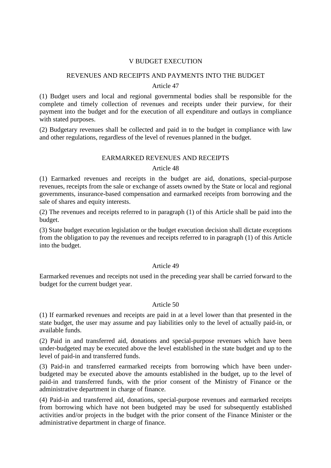## V BUDGET EXECUTION

# REVENUES AND RECEIPTS AND PAYMENTS INTO THE BUDGET

#### Article 47

(1) Budget users and local and regional governmental bodies shall be responsible for the complete and timely collection of revenues and receipts under their purview, for their payment into the budget and for the execution of all expenditure and outlays in compliance with stated purposes.

(2) Budgetary revenues shall be collected and paid in to the budget in compliance with law and other regulations, regardless of the level of revenues planned in the budget.

### EARMARKED REVENUES AND RECEIPTS

### Article 48

(1) Earmarked revenues and receipts in the budget are aid, donations, special-purpose revenues, receipts from the sale or exchange of assets owned by the State or local and regional governments, insurance-based compensation and earmarked receipts from borrowing and the sale of shares and equity interests.

(2) The revenues and receipts referred to in paragraph (1) of this Article shall be paid into the budget.

(3) State budget execution legislation or the budget execution decision shall dictate exceptions from the obligation to pay the revenues and receipts referred to in paragraph (1) of this Article into the budget.

# Article 49

Earmarked revenues and receipts not used in the preceding year shall be carried forward to the budget for the current budget year.

### Article 50

(1) If earmarked revenues and receipts are paid in at a level lower than that presented in the state budget, the user may assume and pay liabilities only to the level of actually paid-in, or available funds.

(2) Paid in and transferred aid, donations and special-purpose revenues which have been under-budgeted may be executed above the level established in the state budget and up to the level of paid-in and transferred funds.

(3) Paid-in and transferred earmarked receipts from borrowing which have been underbudgeted may be executed above the amounts established in the budget, up to the level of paid-in and transferred funds, with the prior consent of the Ministry of Finance or the administrative department in charge of finance.

(4) Paid-in and transferred aid, donations, special-purpose revenues and earmarked receipts from borrowing which have not been budgeted may be used for subsequently established activities and/or projects in the budget with the prior consent of the Finance Minister or the administrative department in charge of finance.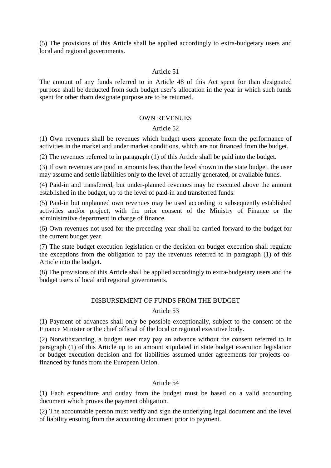(5) The provisions of this Article shall be applied accordingly to extra-budgetary users and local and regional governments.

## Article 51

The amount of any funds referred to in Article 48 of this Act spent for than designated purpose shall be deducted from such budget user's allocation in the year in which such funds spent for other thatn designate purpose are to be returned.

#### OWN REVENUES

### Article 52

(1) Own revenues shall be revenues which budget users generate from the performance of activities in the market and under market conditions, which are not financed from the budget.

(2) The revenues referred to in paragraph (1) of this Article shall be paid into the budget.

(3) If own revenues are paid in amounts less than the level shown in the state budget, the user may assume and settle liabilities only to the level of actually generated, or available funds.

(4) Paid-in and transferred, but under-planned revenues may be executed above the amount established in the budget, up to the level of paid-in and transferred funds.

(5) Paid-in but unplanned own revenues may be used according to subsequently established activities and/or project, with the prior consent of the Ministry of Finance or the administrative department in charge of finance.

(6) Own revenues not used for the preceding year shall be carried forward to the budget for the current budget year.

(7) The state budget execution legislation or the decision on budget execution shall regulate the exceptions from the obligation to pay the revenues referred to in paragraph (1) of this Article into the budget.

(8) The provisions of this Article shall be applied accordingly to extra-budgetary users and the budget users of local and regional governments.

### DISBURSEMENT OF FUNDS FROM THE BUDGET

#### Article 53

(1) Payment of advances shall only be possible exceptionally, subject to the consent of the Finance Minister or the chief official of the local or regional executive body.

(2) Notwithstanding, a budget user may pay an advance without the consent referred to in paragraph (1) of this Article up to an amount stipulated in state budget execution legislation or budget execution decision and for liabilities assumed under agreements for projects cofinanced by funds from the European Union.

### Article 54

(1) Each expenditure and outlay from the budget must be based on a valid accounting document which proves the payment obligation.

(2) The accountable person must verify and sign the underlying legal document and the level of liability ensuing from the accounting document prior to payment.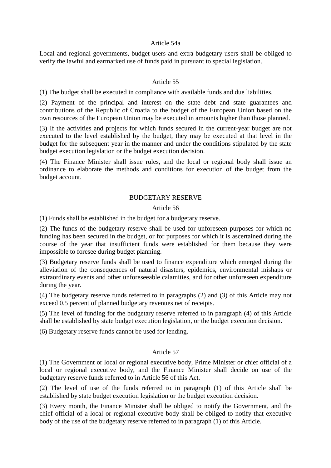#### Article 54a

Local and regional governments, budget users and extra-budgetary users shall be obliged to verify the lawful and earmarked use of funds paid in pursuant to special legislation.

#### Article 55

(1) The budget shall be executed in compliance with available funds and due liabilities.

(2) Payment of the principal and interest on the state debt and state guarantees and contributions of the Republic of Croatia to the budget of the European Union based on the own resources of the European Union may be executed in amounts higher than those planned.

(3) If the activities and projects for which funds secured in the current-year budget are not executed to the level established by the budget, they may be executed at that level in the budget for the subsequent year in the manner and under the conditions stipulated by the state budget execution legislation or the budget execution decision.

(4) The Finance Minister shall issue rules, and the local or regional body shall issue an ordinance to elaborate the methods and conditions for execution of the budget from the budget account.

#### BUDGETARY RESERVE

#### Article 56

(1) Funds shall be established in the budget for a budgetary reserve.

(2) The funds of the budgetary reserve shall be used for unforeseen purposes for which no funding has been secured in the budget, or for purposes for which it is ascertained during the course of the year that insufficient funds were established for them because they were impossible to foresee during budget planning.

(3) Budgetary reserve funds shall be used to finance expenditure which emerged during the alleviation of the consequences of natural disasters, epidemics, environmental mishaps or extraordinary events and other unforeseeable calamities, and for other unforeseen expenditure during the year.

(4) The budgetary reserve funds referred to in paragraphs (2) and (3) of this Article may not exceed 0.5 percent of planned budgetary revenues net of receipts.

(5) The level of funding for the budgetary reserve referred to in paragraph (4) of this Article shall be established by state budget execution legislation, or the budget execution decision.

(6) Budgetary reserve funds cannot be used for lending.

# Article 57

(1) The Government or local or regional executive body, Prime Minister or chief official of a local or regional executive body, and the Finance Minister shall decide on use of the budgetary reserve funds referred to in Article 56 of this Act.

(2) The level of use of the funds referred to in paragraph (1) of this Article shall be established by state budget execution legislation or the budget execution decision.

(3) Every month, the Finance Minister shall be obliged to notify the Government, and the chief official of a local or regional executive body shall be obliged to notify that executive body of the use of the budgetary reserve referred to in paragraph (1) of this Article.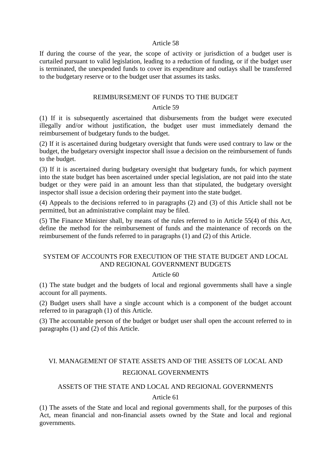#### Article 58

If during the course of the year, the scope of activity or jurisdiction of a budget user is curtailed pursuant to valid legislation, leading to a reduction of funding, or if the budget user is terminated, the unexpended funds to cover its expenditure and outlays shall be transferred to the budgetary reserve or to the budget user that assumes its tasks.

#### REIMBURSEMENT OF FUNDS TO THE BUDGET

#### Article 59

(1) If it is subsequently ascertained that disbursements from the budget were executed illegally and/or without justification, the budget user must immediately demand the reimbursement of budgetary funds to the budget.

(2) If it is ascertained during budgetary oversight that funds were used contrary to law or the budget, the budgetary oversight inspector shall issue a decision on the reimbursement of funds to the budget.

(3) If it is ascertained during budgetary oversight that budgetary funds, for which payment into the state budget has been ascertained under special legislation, are not paid into the state budget or they were paid in an amount less than that stipulated, the budgetary oversight inspector shall issue a decision ordering their payment into the state budget.

(4) Appeals to the decisions referred to in paragraphs (2) and (3) of this Article shall not be permitted, but an administrative complaint may be filed.

(5) The Finance Minister shall, by means of the rules referred to in Article 55(4) of this Act, define the method for the reimbursement of funds and the maintenance of records on the reimbursement of the funds referred to in paragraphs (1) and (2) of this Article.

### SYSTEM OF ACCOUNTS FOR EXECUTION OF THE STATE BUDGET AND LOCAL AND REGIONAL GOVERNMENT BUDGETS

#### Article 60

(1) The state budget and the budgets of local and regional governments shall have a single account for all payments.

(2) Budget users shall have a single account which is a component of the budget account referred to in paragraph (1) of this Article.

(3) The accountable person of the budget or budget user shall open the account referred to in paragraphs (1) and (2) of this Article.

# VI. MANAGEMENT OF STATE ASSETS AND OF THE ASSETS OF LOCAL AND REGIONAL GOVERNMENTS

#### ASSETS OF THE STATE AND LOCAL AND REGIONAL GOVERNMENTS

Article 61

(1) The assets of the State and local and regional governments shall, for the purposes of this Act, mean financial and non-financial assets owned by the State and local and regional governments.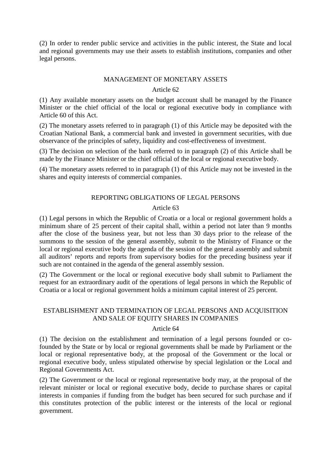(2) In order to render public service and activities in the public interest, the State and local and regional governments may use their assets to establish institutions, companies and other legal persons.

#### MANAGEMENT OF MONETARY ASSETS

#### Article 62

(1) Any available monetary assets on the budget account shall be managed by the Finance Minister or the chief official of the local or regional executive body in compliance with Article 60 of this Act.

(2) The monetary assets referred to in paragraph (1) of this Article may be deposited with the Croatian National Bank, a commercial bank and invested in government securities, with due observance of the principles of safety, liquidity and cost-effectiveness of investment.

(3) The decision on selection of the bank referred to in paragraph (2) of this Article shall be made by the Finance Minister or the chief official of the local or regional executive body.

(4) The monetary assets referred to in paragraph (1) of this Article may not be invested in the shares and equity interests of commercial companies.

# REPORTING OBLIGATIONS OF LEGAL PERSONS

### Article 63

(1) Legal persons in which the Republic of Croatia or a local or regional government holds a minimum share of 25 percent of their capital shall, within a period not later than 9 months after the close of the business year, but not less than 30 days prior to the release of the summons to the session of the general assembly, submit to the Ministry of Finance or the local or regional executive body the agenda of the session of the general assembly and submit all auditors' reports and reports from supervisory bodies for the preceding business year if such are not contained in the agenda of the general assembly session.

(2) The Government or the local or regional executive body shall submit to Parliament the request for an extraordinary audit of the operations of legal persons in which the Republic of Croatia or a local or regional government holds a minimum capital interest of 25 percent.

# ESTABLISHMENT AND TERMINATION OF LEGAL PERSONS AND ACQUISITION AND SALE OF EQUITY SHARES IN COMPANIES

### Article 64

(1) The decision on the establishment and termination of a legal persons founded or cofounded by the State or by local or regional governments shall be made by Parliament or the local or regional representative body, at the proposal of the Government or the local or regional executive body, unless stipulated otherwise by special legislation or the Local and Regional Governments Act.

(2) The Government or the local or regional representative body may, at the proposal of the relevant minister or local or regional executive body, decide to purchase shares or capital interests in companies if funding from the budget has been secured for such purchase and if this constitutes protection of the public interest or the interests of the local or regional government.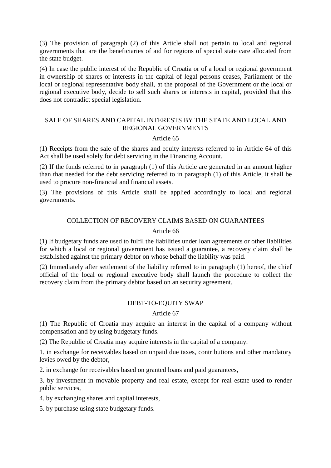(3) The provision of paragraph (2) of this Article shall not pertain to local and regional governments that are the beneficiaries of aid for regions of special state care allocated from the state budget.

(4) In case the public interest of the Republic of Croatia or of a local or regional government in ownership of shares or interests in the capital of legal persons ceases, Parliament or the local or regional representative body shall, at the proposal of the Government or the local or regional executive body, decide to sell such shares or interests in capital, provided that this does not contradict special legislation.

## SALE OF SHARES AND CAPITAL INTERESTS BY THE STATE AND LOCAL AND REGIONAL GOVERNMENTS

### Article 65

(1) Receipts from the sale of the shares and equity interests referred to in Article 64 of this Act shall be used solely for debt servicing in the Financing Account.

(2) If the funds referred to in paragraph (1) of this Article are generated in an amount higher than that needed for the debt servicing referred to in paragraph (1) of this Article, it shall be used to procure non-financial and financial assets.

(3) The provisions of this Article shall be applied accordingly to local and regional governments.

# COLLECTION OF RECOVERY CLAIMS BASED ON GUARANTEES

#### Article 66

(1) If budgetary funds are used to fulfil the liabilities under loan agreements or other liabilities for which a local or regional government has issued a guarantee, a recovery claim shall be established against the primary debtor on whose behalf the liability was paid.

(2) Immediately after settlement of the liability referred to in paragraph (1) hereof, the chief official of the local or regional executive body shall launch the procedure to collect the recovery claim from the primary debtor based on an security agreement.

# DEBT-TO-EQUITY SWAP

### Article 67

(1) The Republic of Croatia may acquire an interest in the capital of a company without compensation and by using budgetary funds.

(2) The Republic of Croatia may acquire interests in the capital of a company:

1. in exchange for receivables based on unpaid due taxes, contributions and other mandatory levies owed by the debtor,

2. in exchange for receivables based on granted loans and paid guarantees,

3. by investment in movable property and real estate, except for real estate used to render public services,

4. by exchanging shares and capital interests,

5. by purchase using state budgetary funds.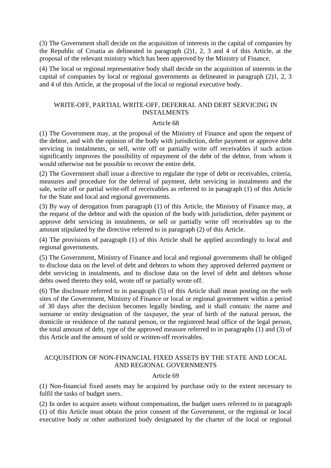(3) The Government shall decide on the acquisition of interests in the capital of companies by the Republic of Croatia as delineated in paragraph (2)1, 2, 3 and 4 of this Article, at the proposal of the relevant ministry which has been approved by the Ministry of Finance.

(4) The local or regional representative body shall decide on the acquisition of interests in the capital of companies by local or regional governments as delineated in paragraph (2)1, 2, 3 and 4 of this Article, at the proposal of the local or regional executive body.

## WRITE-OFF, PARTIAL WRITE-OFF, DEFERRAL AND DEBT SERVICING IN INSTALMENTS

### Article 68

(1) The Government may, at the proposal of the Ministry of Finance and upon the request of the debtor, and with the opinion of the body with jurisdiction, defer payment or approve debt servicing in instalments, or sell, write off or partially write off receivables if such action significantly improves the possibility of repayment of the debt of the debtor, from whom it would otherwise not be possible to recover the entire debt.

(2) The Government shall issue a directive to regulate the type of debt or receivables, criteria, measures and procedure for the deferral of payment, debt servicing in instalments and the sale, write off or partial write-off of receivables as referred to in paragraph (1) of this Article for the State and local and regional governments.

(3) By way of derogation from paragraph (1) of this Article, the Ministry of Finance may, at the request of the debtor and with the opinion of the body with jurisdiction, defer payment or approve debt servicing in instalments, or sell or partially write off receivables up to the amount stipulated by the directive referred to in paragraph (2) of this Article.

(4) The provisions of paragraph (1) of this Article shall be applied accordingly to local and regional governments.

(5) The Government, Ministry of Finance and local and regional governments shall be obliged to disclose data on the level of debt and debtors to whom they approved deferred payment or debt servicing in instalments, and to disclose data on the level of debt and debtors whose debts owed thereto they sold, wrote off or partially wrote off.

(6) The disclosure referred to in paragraph (5) of this Article shall mean posting on the web sites of the Government, Ministry of Finance or local or regional government within a period of 30 days after the decision becomes legally binding, and it shall contain: the name and surname or entity designation of the taxpayer, the year of birth of the natural person, the domicile or residence of the natural person, or the registered head office of the legal person, the total amount of debt, type of the approved measure referred to in paragraphs (1) and (3) of this Article and the amount of sold or written-off receivables.

# ACQUISITION OF NON-FINANCIAL FIXED ASSETS BY THE STATE AND LOCAL AND REGIONAL GOVERNMENTS

# Article 69

(1) Non-financial fixed assets may be acquired by purchase only to the extent necessary to fulfil the tasks of budget users.

(2) In order to acquire assets without compensation, the budget users referred to in paragraph (1) of this Article must obtain the prior consent of the Government, or the regional or local executive body or other authorized body designated by the charter of the local or regional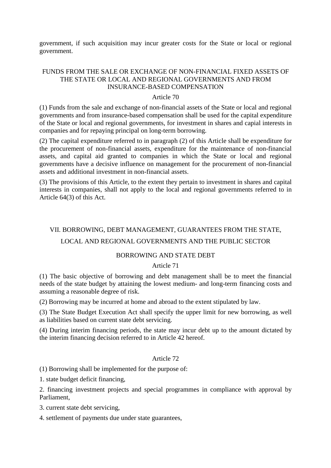government, if such acquisition may incur greater costs for the State or local or regional government.

# FUNDS FROM THE SALE OR EXCHANGE OF NON-FINANCIAL FIXED ASSETS OF THE STATE OR LOCAL AND REGIONAL GOVERNMENTS AND FROM INSURANCE-BASED COMPENSATION

#### Article 70

(1) Funds from the sale and exchange of non-financial assets of the State or local and regional governments and from insurance-based compensation shall be used for the capital expenditure of the State or local and regional governments, for investment in shares and capial interests in companies and for repaying principal on long-term borrowing.

(2) The capital expenditure referred to in paragraph (2) of this Article shall be expenditure for the procurement of non-financial assets, expenditure for the maintenance of non-financial assets, and capital aid granted to companies in which the State or local and regional governments have a decisive influence on management for the procurement of non-financial assets and additional investment in non-financial assets.

(3) The provisions of this Article, to the extent they pertain to investment in shares and capital interests in companies, shall not apply to the local and regional governments referred to in Article 64(3) of this Act.

# VII. BORROWING, DEBT MANAGEMENT, GUARANTEES FROM THE STATE,

## LOCAL AND REGIONAL GOVERNMENTS AND THE PUBLIC SECTOR

### BORROWING AND STATE DEBT

#### Article 71

(1) The basic objective of borrowing and debt management shall be to meet the financial needs of the state budget by attaining the lowest medium- and long-term financing costs and assuming a reasonable degree of risk.

(2) Borrowing may be incurred at home and abroad to the extent stipulated by law.

(3) The State Budget Execution Act shall specify the upper limit for new borrowing, as well as liabilities based on current state debt servicing.

(4) During interim financing periods, the state may incur debt up to the amount dictated by the interim financing decision referred to in Article 42 hereof.

#### Article 72

(1) Borrowing shall be implemented for the purpose of:

1. state budget deficit financing,

2. financing investment projects and special programmes in compliance with approval by Parliament,

3. current state debt servicing,

4. settlement of payments due under state guarantees,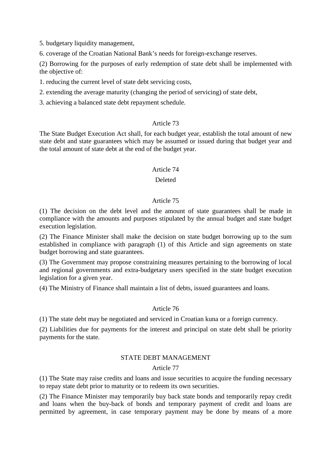5. budgetary liquidity management,

6. coverage of the Croatian National Bank's needs for foreign-exchange reserves.

(2) Borrowing for the purposes of early redemption of state debt shall be implemented with the objective of:

1. reducing the current level of state debt servicing costs,

2. extending the average maturity (changing the period of servicing) of state debt,

3. achieving a balanced state debt repayment schedule.

### Article 73

The State Budget Execution Act shall, for each budget year, establish the total amount of new state debt and state guarantees which may be assumed or issued during that budget year and the total amount of state debt at the end of the budget year.

#### Article 74

# Deleted

### Article 75

(1) The decision on the debt level and the amount of state guarantees shall be made in compliance with the amounts and purposes stipulated by the annual budget and state budget execution legislation.

(2) The Finance Minister shall make the decision on state budget borrowing up to the sum established in compliance with paragraph (1) of this Article and sign agreements on state budget borrowing and state guarantees.

(3) The Government may propose constraining measures pertaining to the borrowing of local and regional governments and extra-budgetary users specified in the state budget execution legislation for a given year.

(4) The Ministry of Finance shall maintain a list of debts, issued guarantees and loans.

### Article 76

(1) The state debt may be negotiated and serviced in Croatian kuna or a foreign currency.

(2) Liabilities due for payments for the interest and principal on state debt shall be priority payments for the state.

### STATE DEBT MANAGEMENT

#### Article 77

(1) The State may raise credits and loans and issue securities to acquire the funding necessary to repay state debt prior to maturity or to redeem its own securities.

(2) The Finance Minister may temporarily buy back state bonds and temporarily repay credit and loans when the buy-back of bonds and temporary payment of credit and loans are permitted by agreement, in case temporary payment may be done by means of a more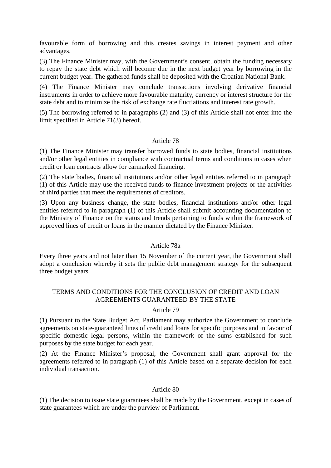favourable form of borrowing and this creates savings in interest payment and other advantages.

(3) The Finance Minister may, with the Government's consent, obtain the funding necessary to repay the state debt which will become due in the next budget year by borrowing in the current budget year. The gathered funds shall be deposited with the Croatian National Bank.

(4) The Finance Minister may conclude transactions involving derivative financial instruments in order to achieve more favourable maturity, currency or interest structure for the state debt and to minimize the risk of exchange rate fluctiations and interest rate growth.

(5) The borrowing referred to in paragraphs (2) and (3) of this Article shall not enter into the limit specified in Article 71(3) hereof.

### Article 78

(1) The Finance Minister may transfer borrowed funds to state bodies, financial institutions and/or other legal entities in compliance with contractual terms and conditions in cases when credit or loan contracts allow for earmarked financing.

(2) The state bodies, financial institutions and/or other legal entities referred to in paragraph (1) of this Article may use the received funds to finance investment projects or the activities of third parties that meet the requirements of creditors.

(3) Upon any business change, the state bodies, financial institutions and/or other legal entities referred to in paragraph (1) of this Article shall submit accounting documentation to the Ministry of Finance on the status and trends pertaining to funds within the framework of approved lines of credit or loans in the manner dictated by the Finance Minister.

### Article 78a

Every three years and not later than 15 November of the current year, the Government shall adopt a conclusion whereby it sets the public debt management strategy for the subsequent three budget years.

# TERMS AND CONDITIONS FOR THE CONCLUSION OF CREDIT AND LOAN AGREEMENTS GUARANTEED BY THE STATE

### Article 79

(1) Pursuant to the State Budget Act, Parliament may authorize the Government to conclude agreements on state-guaranteed lines of credit and loans for specific purposes and in favour of specific domestic legal persons, within the framework of the sums established for such purposes by the state budget for each year.

(2) At the Finance Minister's proposal, the Government shall grant approval for the agreements referred to in paragraph (1) of this Article based on a separate decision for each individual transaction.

#### Article 80

(1) The decision to issue state guarantees shall be made by the Government, except in cases of state guarantees which are under the purview of Parliament.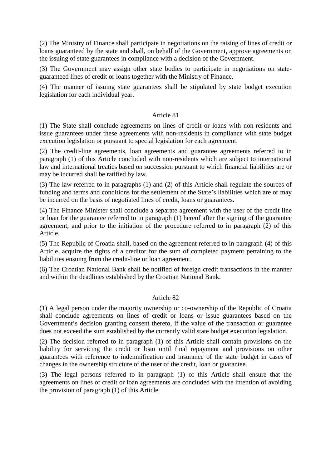(2) The Ministry of Finance shall participate in negotiations on the raising of lines of credit or loans guaranteed by the state and shall, on behalf of the Government, approve agreements on the issuing of state guarantees in compliance with a decision of the Government.

(3) The Government may assign other state bodies to participate in negotiations on stateguaranteed lines of credit or loans together with the Ministry of Finance.

(4) The manner of issuing state guarantees shall be stipulated by state budget execution legislation for each individual year.

#### Article 81

(1) The State shall conclude agreements on lines of credit or loans with non-residents and issue guarantees under these agreements with non-residents in compliance with state budget execution legislation or pursuant to special legislation for each agreement.

(2) The credit-line agreements, loan agreements and guarantee agreements referred to in paragraph (1) of this Article concluded with non-residents which are subject to international law and international treaties based on succession pursuant to which financial liabilities are or may be incurred shall be ratified by law.

(3) The law referred to in paragraphs (1) and (2) of this Article shall regulate the sources of funding and terms and conditions for the settlement of the State's liabilities which are or may be incurred on the basis of negotiated lines of credit, loans or guarantees.

(4) The Finance Minister shall conclude a separate agreement with the user of the credit line or loan for the guarantee referred to in paragraph (1) hereof after the signing of the guarantee agreement, and prior to the initiation of the procedure referred to in paragraph (2) of this Article.

(5) The Republic of Croatia shall, based on the agreement referred to in paragraph (4) of this Article, acquire the rights of a creditor for the sum of completed payment pertaining to the liabilities ensuing from the credit-line or loan agreement.

(6) The Croatian National Bank shall be notified of foreign credit transactions in the manner and within the deadlines established by the Croatian National Bank.

#### Article 82

(1) A legal person under the majority ownership or co-ownership of the Republic of Croatia shall conclude agreements on lines of credit or loans or issue guarantees based on the Government's decision granting consent thereto, if the value of the transaction or guarantee does not exceed the sum established by the currently valid state budget execution legislation.

(2) The decision referred to in paragraph (1) of this Article shall contain provisions on the liability for servicing the credit or loan until final repayment and provisions on other guarantees with reference to indemnification and insurance of the state budget in cases of changes in the ownership structure of the user of the credit, loan or guarantee.

(3) The legal persons referred to in paragraph (1) of this Article shall ensure that the agreements on lines of credit or loan agreements are concluded with the intention of avoiding the provision of paragraph (1) of this Article.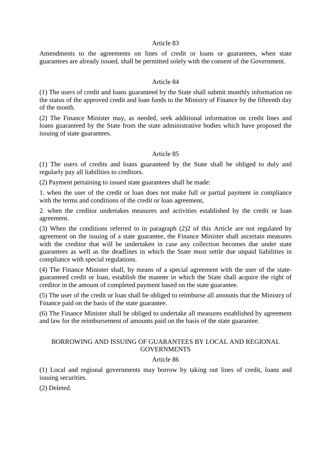#### Article 83

Amendments to the agreements on lines of credit or loans or guarantees, when state guarantees are already issued, shall be permitted solely with the consent of the Government.

#### Article 84

(1) The users of credit and loans guaranteed by the State shall submit monthly information on the status of the approved credit and loan funds to the Ministry of Finance by the fifteenth day of the month.

(2) The Finance Minister may, as needed, seek additional information on credit lines and loans guaranteed by the State from the state administrative bodies which have proposed the issuing of state guarantees.

### Article 85

(1) The users of credits and loans guaranteed by the State shall be obliged to duly and regularly pay all liabilities to creditors.

(2) Payment pertaining to issued state guarantees shall be made:

1. when the user of the credit or loan does not make full or partial payment in compliance with the terms and conditions of the credit or loan agreement,

2. when the creditor undertakes measures and activities established by the credit or loan agreement.

(3) When the conditions referred to in paragraph (2)2 of this Article are not regulated by agreement on the issuing of a state guarantee, the Finance Minister shall ascertain measures with the creditor that will be undertaken in case any collection becomes due under state guarantees as well as the deadlines in which the State must settle due unpaid liabilities in compliance with special regulations.

(4) The Finance Minister shall, by means of a special agreement with the user of the stateguaranteed credit or loan, establish the manner in which the State shall acquire the right of creditor in the amount of completed payment based on the state guarantee.

(5) The user of the credit or loan shall be obliged to reimburse all amounts that the Ministry of Finance paid on the basis of the state guarantee.

(6) The Finance Minister shall be obliged to undertake all measures established by agreement and law for the reimbursement of amounts paid on the basis of the state guarantee.

#### BORROWING AND ISSUING OF GUARANTEES BY LOCAL AND REGIONAL **GOVERNMENTS**

#### Article 86

(1) Local and regional governments may borrow by taking out lines of credit, loans and issuing securities.

(2) Deleted.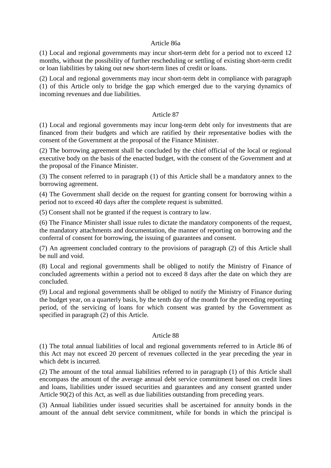#### Article 86a

(1) Local and regional governments may incur short-term debt for a period not to exceed 12 months, without the possibility of further rescheduling or settling of existing short-term credit or loan liabilities by taking out new short-term lines of credit or loans.

(2) Local and regional governments may incur short-term debt in compliance with paragraph (1) of this Article only to bridge the gap which emerged due to the varying dynamics of incoming revenues and due liabilities.

## Article 87

(1) Local and regional governments may incur long-term debt only for investments that are financed from their budgets and which are ratified by their representative bodies with the consent of the Government at the proposal of the Finance Minister.

(2) The borrowing agreement shall be concluded by the chief official of the local or regional executive body on the basis of the enacted budget, with the consent of the Government and at the proposal of the Finance Minister.

(3) The consent referred to in paragraph (1) of this Article shall be a mandatory annex to the borrowing agreement.

(4) The Government shall decide on the request for granting consent for borrowing within a period not to exceed 40 days after the complete request is submitted.

(5) Consent shall not be granted if the request is contrary to law.

(6) The Finance Minister shall issue rules to dictate the mandatory components of the request, the mandatory attachments and documentation, the manner of reporting on borrowing and the conferral of consent for borrowing, the issuing of guarantees and consent.

(7) An agreement concluded contrary to the provisions of paragraph (2) of this Article shall be null and void.

(8) Local and regional governments shall be obliged to notify the Ministry of Finance of concluded agreements within a period not to exceed 8 days after the date on which they are concluded.

(9) Local and regional governments shall be obliged to notify the Ministry of Finance during the budget year, on a quarterly basis, by the tenth day of the month for the preceding reporting period, of the servicing of loans for which consent was granted by the Government as specified in paragraph (2) of this Article.

### Article 88

(1) The total annual liabilities of local and regional governments referred to in Article 86 of this Act may not exceed 20 percent of revenues collected in the year preceding the year in which debt is incurred.

(2) The amount of the total annual liabilities referred to in paragraph (1) of this Article shall encompass the amount of the average annual debt service commitment based on credit lines and loans, liabilities under issued securities and guarantees and any consent granted under Article 90(2) of this Act, as well as due liabilities outstanding from preceding years.

(3) Annual liabilities under issued securities shall be ascertained for annuity bonds in the amount of the annual debt service commitment, while for bonds in which the principal is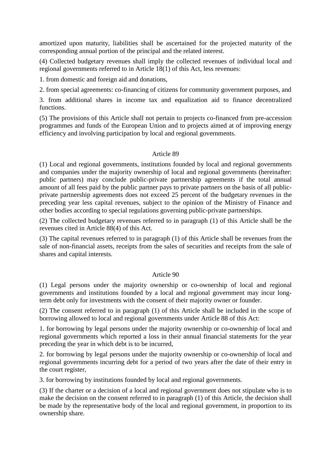amortized upon maturity, liabilities shall be ascertained for the projected maturity of the corresponding annual portion of the principal and the related interest.

(4) Collected budgetary revenues shall imply the collected revenues of individual local and regional governments referred to in Article 18(1) of this Act, less revenues:

1. from domestic and foreign aid and donations,

2. from special agreements: co-financing of citizens for community government purposes, and

3. from additional shares in income tax and equalization aid to finance decentralized functions.

(5) The provisions of this Article shall not pertain to projects co-financed from pre-accession programmes and funds of the European Union and to projects aimed at of improving energy efficiency and involving participation by local and regional governments.

### Article 89

(1) Local and regional governments, institutions founded by local and regional governments and companies under the majority ownership of local and regional governments (hereinafter: public partners) may conclude public-private partnership agreements if the total annual amount of all fees paid by the public partner pays to private partners on the basis of all publicprivate partnership agreements does not exceed 25 percent of the budgetary revenues in the preceding year less capital revenues, subject to the opinion of the Ministry of Finance and other bodies according to special regulations governing public-private partnerships.

(2) The collected budgetary revenues referred to in paragraph (1) of this Article shall be the revenues cited in Article 88(4) of this Act.

(3) The capital revenues referred to in paragraph (1) of this Article shall be revenues from the sale of non-financial assets, receipts from the sales of securities and receipts from the sale of shares and capital interests.

### Article 90

(1) Legal persons under the majority ownership or co-ownership of local and regional governments and institutions founded by a local and regional government may incur longterm debt only for investments with the consent of their majority owner or founder.

(2) The consent referred to in paragraph (1) of this Article shall be included in the scope of borrowing allowed to local and regional governments under Article 88 of this Act:

1. for borrowing by legal persons under the majority ownership or co-ownership of local and regional governments which reported a loss in their annual financial statements for the year preceding the year in which debt is to be incurred,

2. for borrowing by legal persons under the majority ownership or co-ownership of local and regional governments incurring debt for a period of two years after the date of their entry in the court register,

3. for borrowing by institutions founded by local and regional governments.

(3) If the charter or a decision of a local and regional government does not stipulate who is to make the decision on the consent referred to in paragraph (1) of this Article, the decision shall be made by the representative body of the local and regional government, in proportion to its ownership share.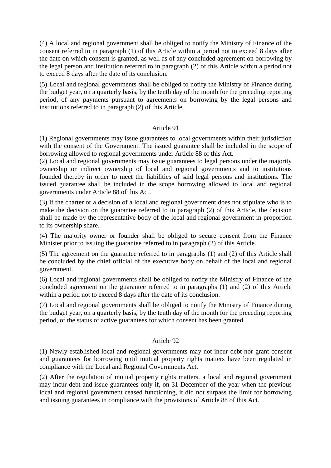(4) A local and regional government shall be obliged to notify the Ministry of Finance of the consent referred to in paragraph (1) of this Article within a period not to exceed 8 days after the date on which consent is granted, as well as of any concluded agreement on borrowing by the legal person and institution referred to in paragraph (2) of this Article within a period not to exceed 8 days after the date of its conclusion.

(5) Local and regional governments shall be obliged to notify the Ministry of Finance during the budget year, on a quarterly basis, by the tenth day of the month for the preceding reporting period, of any payments pursuant to agreements on borrowing by the legal persons and institutions referred to in paragraph (2) of this Article.

### Article 91

(1) Regional governments may issue guarantees to local governments within their jurisdiction with the consent of the Government. The issued guarantee shall be included in the scope of borrowing allowed to regional governments under Article 88 of this Act.

(2) Local and regional governments may issue guarantees to legal persons under the majority ownership or indirect ownership of local and regional governments and to institutions founded thereby in order to meet the liabilities of said legal persons and institutions. The issued guarantee shall be included in the scope borrowing allowed to local and regional governments under Article 88 of this Act.

(3) If the charter or a decision of a local and regional government does not stipulate who is to make the decision on the guarantee referred to in paragraph (2) of this Article, the decision shall be made by the representative body of the local and regional government in proportion to its ownership share.

(4) The majority owner or founder shall be obliged to secure consent from the Finance Minister prior to issuing the guarantee referred to in paragraph (2) of this Article.

(5) The agreement on the guarantee referred to in paragraphs (1) and (2) of this Article shall be concluded by the chief official of the executive body on behalf of the local and regional government.

(6) Local and regional governments shall be obliged to notify the Ministry of Finance of the concluded agreement on the guarantee referred to in paragraphs (1) and (2) of this Article within a period not to exceed 8 days after the date of its conclusion.

(7) Local and regional governments shall be obliged to notify the Ministry of Finance during the budget year, on a quarterly basis, by the tenth day of the month for the preceding reporting period, of the status of active guarantees for which consent has been granted.

### Article 92

(1) Newly-established local and regional governments may not incur debt nor grant consent and guarantees for borrowing until mutual property rights matters have been regulated in compliance with the Local and Regional Governments Act.

(2) After the regulation of mutual property rights matters, a local and regional government may incur debt and issue guarantees only if, on 31 December of the year when the previous local and regional government ceased functioning, it did not surpass the limit for borrowing and issuing guarantees in compliance with the provisions of Article 88 of this Act.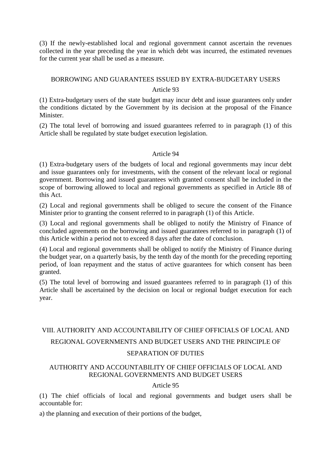(3) If the newly-established local and regional government cannot ascertain the revenues collected in the year preceding the year in which debt was incurred, the estimated revenues for the current year shall be used as a measure.

# BORROWING AND GUARANTEES ISSUED BY EXTRA-BUDGETARY USERS Article 93

(1) Extra-budgetary users of the state budget may incur debt and issue guarantees only under the conditions dictated by the Government by its decision at the proposal of the Finance Minister.

(2) The total level of borrowing and issued guarantees referred to in paragraph (1) of this Article shall be regulated by state budget execution legislation.

### Article 94

(1) Extra-budgetary users of the budgets of local and regional governments may incur debt and issue guarantees only for investments, with the consent of the relevant local or regional government. Borrowing and issued guarantees with granted consent shall be included in the scope of borrowing allowed to local and regional governments as specified in Article 88 of this Act.

(2) Local and regional governments shall be obliged to secure the consent of the Finance Minister prior to granting the consent referred to in paragraph (1) of this Article.

(3) Local and regional governments shall be obliged to notify the Ministry of Finance of concluded agreements on the borrowing and issued guarantees referred to in paragraph (1) of this Article within a period not to exceed 8 days after the date of conclusion.

(4) Local and regional governments shall be obliged to notify the Ministry of Finance during the budget year, on a quarterly basis, by the tenth day of the month for the preceding reporting period, of loan repayment and the status of active guarantees for which consent has been granted.

(5) The total level of borrowing and issued guarantees referred to in paragraph (1) of this Article shall be ascertained by the decision on local or regional budget execution for each year.

# VIII. AUTHORITY AND ACCOUNTABILITY OF CHIEF OFFICIALS OF LOCAL AND REGIONAL GOVERNMENTS AND BUDGET USERS AND THE PRINCIPLE OF

# SEPARATION OF DUTIES

# AUTHORITY AND ACCOUNTABILITY OF CHIEF OFFICIALS OF LOCAL AND REGIONAL GOVERNMENTS AND BUDGET USERS

# Article 95

(1) The chief officials of local and regional governments and budget users shall be accountable for:

a) the planning and execution of their portions of the budget,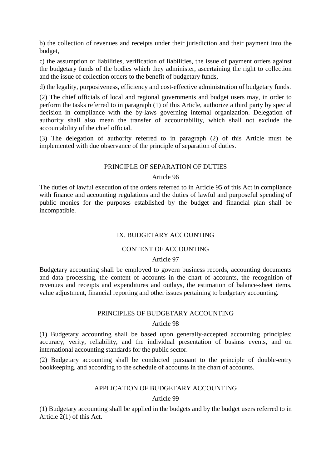b) the collection of revenues and receipts under their jurisdiction and their payment into the budget,

c) the assumption of liabilities, verification of liabilities, the issue of payment orders against the budgetary funds of the bodies which they administer, ascertaining the right to collection and the issue of collection orders to the benefit of budgetary funds,

d) the legality, purposiveness, efficiency and cost-effective administration of budgetary funds.

(2) The chief officials of local and regional governments and budget users may, in order to perform the tasks referred to in paragraph (1) of this Article, authorize a third party by special decision in compliance with the by-laws governing internal organization. Delegation of authority shall also mean the transfer of accountability, which shall not exclude the accountability of the chief official.

(3) The delegation of authority referred to in paragraph (2) of this Article must be implemented with due observance of the principle of separation of duties.

### PRINCIPLE OF SEPARATION OF DUTIES

### Article 96

The duties of lawful execution of the orders referred to in Article 95 of this Act in compliance with finance and accounting regulations and the duties of lawful and purposeful spending of public monies for the purposes established by the budget and financial plan shall be incompatible.

## IX. BUDGETARY ACCOUNTING

# CONTENT OF ACCOUNTING

### Article 97

Budgetary accounting shall be employed to govern business records, accounting documents and data processing, the content of accounts in the chart of accounts, the recognition of revenues and receipts and expenditures and outlays, the estimation of balance-sheet items, value adjustment, financial reporting and other issues pertaining to budgetary accounting.

### PRINCIPLES OF BUDGETARY ACCOUNTING

### Article 98

(1) Budgetary accounting shall be based upon generally-accepted accounting principles: accuracy, verity, reliability, and the individual presentation of businss events, and on international accounting standards for the public sector.

(2) Budgetary accounting shall be conducted pursuant to the principle of double-entry bookkeeping, and according to the schedule of accounts in the chart of accounts.

## APPLICATION OF BUDGETARY ACCOUNTING

Article 99

(1) Budgetary accounting shall be applied in the budgets and by the budget users referred to in Article 2(1) of this Act.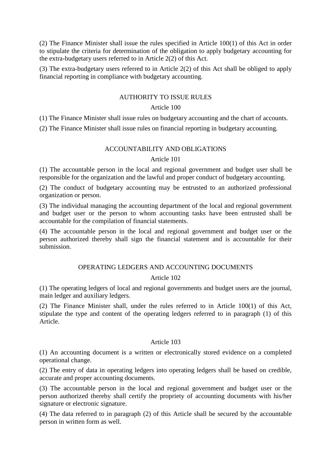(2) The Finance Minister shall issue the rules specified in Article 100(1) of this Act in order to stipulate the criteria for determination of the obligation to apply budgetary accounting for the extra-budgetary users referred to in Article 2(2) of this Act.

(3) The extra-budgetary users referred to in Article 2(2) of this Act shall be obliged to apply financial reporting in compliance with budgetary accounting.

# AUTHORITY TO ISSUE RULES

### Article 100

(1) The Finance Minister shall issue rules on budgetary accounting and the chart of accounts.

(2) The Finance Minister shall issue rules on financial reporting in budgetary accounting.

### ACCOUNTABILITY AND OBLIGATIONS

# Article 101

(1) The accountable person in the local and regional government and budget user shall be responsible for the organization and the lawful and proper conduct of budgetary accounting.

(2) The conduct of budgetary accounting may be entrusted to an authorized professional organization or person.

(3) The individual managing the accounting department of the local and regional government and budget user or the person to whom accounting tasks have been entrusted shall be accountable for the compilation of financial statements.

(4) The accountable person in the local and regional government and budget user or the person authorized thereby shall sign the financial statement and is accountable for their submission.

### OPERATING LEDGERS AND ACCOUNTING DOCUMENTS

# Article 102

(1) The operating ledgers of local and regional governments and budget users are the journal, main ledger and auxiliary ledgers.

(2) The Finance Minister shall, under the rules referred to in Article 100(1) of this Act, stipulate the type and content of the operating ledgers referred to in paragraph (1) of this Article.

### Article 103

(1) An accounting document is a written or electronically stored evidence on a completed operational change.

(2) The entry of data in operating ledgers into operating ledgers shall be based on credible, accurate and proper accounting documents.

(3) The accountable person in the local and regional government and budget user or the person authorized thereby shall certify the propriety of accounting documents with his/her signature or electronic signature.

(4) The data referred to in paragraph (2) of this Article shall be secured by the accountable person in written form as well.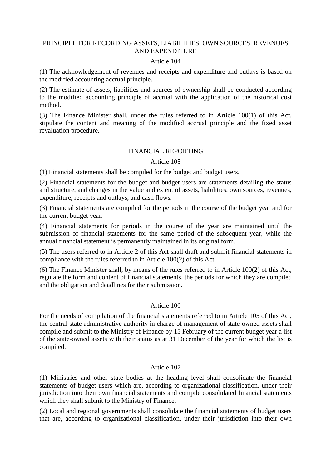#### PRINCIPLE FOR RECORDING ASSETS, LIABILITIES, OWN SOURCES, REVENUES AND EXPENDITURE

#### Article 104

(1) The acknowledgement of revenues and receipts and expenditure and outlays is based on the modified accounting accrual principle.

(2) The estimate of assets, liabilities and sources of ownership shall be conducted according to the modified accounting principle of accrual with the application of the historical cost method.

(3) The Finance Minister shall, under the rules referred to in Article 100(1) of this Act, stipulate the content and meaning of the modified accrual principle and the fixed asset revaluation procedure.

### FINANCIAL REPORTING

#### Article 105

(1) Financial statements shall be compiled for the budget and budget users.

(2) Financial statements for the budget and budget users are statements detailing the status and structure, and changes in the value and extent of assets, liabilities, own sources, revenues, expenditure, receipts and outlays, and cash flows.

(3) Financial statements are compiled for the periods in the course of the budget year and for the current budget year.

(4) Financial statements for periods in the course of the year are maintained until the submission of financial statements for the same period of the subsequent year, while the annual financial statement is permanently maintained in its original form.

(5) The users referred to in Article 2 of this Act shall draft and submit financial statements in compliance with the rules referred to in Article 100(2) of this Act.

(6) The Finance Minister shall, by means of the rules referred to in Article 100(2) of this Act, regulate the form and content of financial statements, the periods for which they are compiled and the obligation and deadlines for their submission.

### Article 106

For the needs of compilation of the financial statements referred to in Article 105 of this Act, the central state administrative authority in charge of management of state-owned assets shall compile and submit to the Ministry of Finance by 15 February of the current budget year a list of the state-owned assets with their status as at 31 December of the year for which the list is compiled.

### Article 107

(1) Ministries and other state bodies at the heading level shall consolidate the financial statements of budget users which are, according to organizational classification, under their jurisdiction into their own financial statements and compile consolidated financial statements which they shall submit to the Ministry of Finance.

(2) Local and regional governments shall consolidate the financial statements of budget users that are, according to organizational classification, under their jurisdiction into their own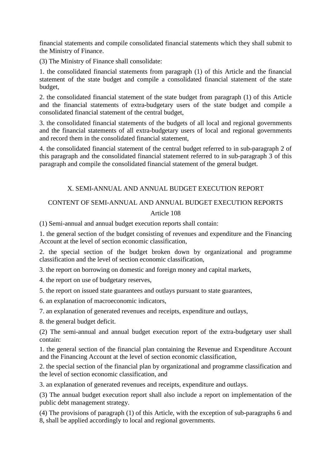financial statements and compile consolidated financial statements which they shall submit to the Ministry of Finance.

(3) The Ministry of Finance shall consolidate:

1. the consolidated financial statements from paragraph (1) of this Article and the financial statement of the state budget and compile a consolidated financial statement of the state budget,

2. the consolidated financial statement of the state budget from paragraph (1) of this Article and the financial statements of extra-budgetary users of the state budget and compile a consolidated financial statement of the central budget,

3. the consolidated financial statements of the budgets of all local and regional governments and the financial statements of all extra-budgetary users of local and regional governments and record them in the consolidated financial statement,

4. the consolidated financial statement of the central budget referred to in sub-paragraph 2 of this paragraph and the consolidated financial statement referred to in sub-paragraph 3 of this paragraph and compile the consolidated financial statement of the general budget.

# X. SEMI-ANNUAL AND ANNUAL BUDGET EXECUTION REPORT

# CONTENT OF SEMI-ANNUAL AND ANNUAL BUDGET EXECUTION REPORTS Article 108

(1) Semi-annual and annual budget execution reports shall contain:

1. the general section of the budget consisting of revenues and expenditure and the Financing Account at the level of section economic classification,

2. the special section of the budget broken down by organizational and programme classification and the level of section economic classification,

3. the report on borrowing on domestic and foreign money and capital markets,

4. the report on use of budgetary reserves,

5. the report on issued state guarantees and outlays pursuant to state guarantees,

6. an explanation of macroeconomic indicators,

7. an explanation of generated revenues and receipts, expenditure and outlays,

8. the general budget deficit.

(2) The semi-annual and annual budget execution report of the extra-budgetary user shall contain:

1. the general section of the financial plan containing the Revenue and Expenditure Account and the Financing Account at the level of section economic classification,

2. the special section of the financial plan by organizational and programme classification and the level of section economic classification, and

3. an explanation of generated revenues and receipts, expenditure and outlays.

(3) The annual budget execution report shall also include a report on implementation of the public debt management strategy.

(4) The provisions of paragraph (1) of this Article, with the exception of sub-paragraphs 6 and 8, shall be applied accordingly to local and regional governments.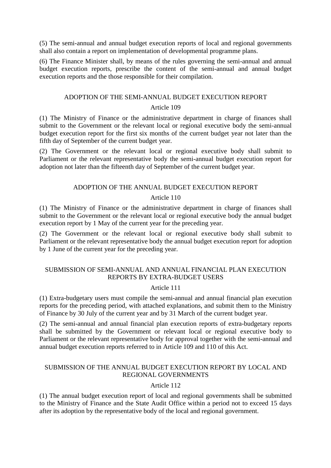(5) The semi-annual and annual budget execution reports of local and regional governments shall also contain a report on implementation of developmental programme plans.

(6) The Finance Minister shall, by means of the rules governing the semi-annual and annual budget execution reports, prescribe the content of the semi-annual and annual budget execution reports and the those responsible for their compilation.

# ADOPTION OF THE SEMI-ANNUAL BUDGET EXECUTION REPORT Article 109

(1) The Ministry of Finance or the administrative department in charge of finances shall submit to the Government or the relevant local or regional executive body the semi-annual budget execution report for the first six months of the current budget year not later than the fifth day of September of the current budget year.

(2) The Government or the relevant local or regional executive body shall submit to Parliament or the relevant representative body the semi-annual budget execution report for adoption not later than the fifteenth day of September of the current budget year.

### ADOPTION OF THE ANNUAL BUDGET EXECUTION REPORT

# Article 110

(1) The Ministry of Finance or the administrative department in charge of finances shall submit to the Government or the relevant local or regional executive body the annual budget execution report by 1 May of the current year for the preceding year.

(2) The Government or the relevant local or regional executive body shall submit to Parliament or the relevant representative body the annual budget execution report for adoption by 1 June of the current year for the preceding year.

# SUBMISSION OF SEMI-ANNUAL AND ANNUAL FINANCIAL PLAN EXECUTION REPORTS BY EXTRA-BUDGET USERS

### Article 111

(1) Extra-budgetary users must compile the semi-annual and annual financial plan execution reports for the preceding period, with attached explanations, and submit them to the Ministry of Finance by 30 July of the current year and by 31 March of the current budget year.

(2) The semi-annual and annual financial plan execution reports of extra-budgetary reports shall be submitted by the Government or relevant local or regional executive body to Parliament or the relevant representative body for approval together with the semi-annual and annual budget execution reports referred to in Article 109 and 110 of this Act.

### SUBMISSION OF THE ANNUAL BUDGET EXECUTION REPORT BY LOCAL AND REGIONAL GOVERNMENTS

# Article 112

(1) The annual budget execution report of local and regional governments shall be submitted to the Ministry of Finance and the State Audit Office within a period not to exceed 15 days after its adoption by the representative body of the local and regional government.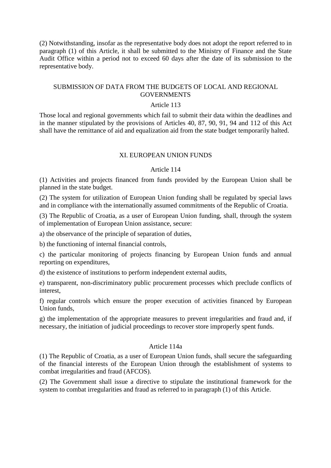(2) Notwithstanding, insofar as the representative body does not adopt the report referred to in paragraph (1) of this Article, it shall be submitted to the Ministry of Finance and the State Audit Office within a period not to exceed 60 days after the date of its submission to the representative body.

## SUBMISSION OF DATA FROM THE BUDGETS OF LOCAL AND REGIONAL **GOVERNMENTS**

#### Article 113

Those local and regional governments which fail to submit their data within the deadlines and in the manner stipulated by the provisions of Articles 40, 87, 90, 91, 94 and 112 of this Act shall have the remittance of aid and equalization aid from the state budget temporarily halted.

#### XI. EUROPEAN UNION FUNDS

#### Article 114

(1) Activities and projects financed from funds provided by the European Union shall be planned in the state budget.

(2) The system for utilization of European Union funding shall be regulated by special laws and in compliance with the internationally assumed commitments of the Republic of Croatia.

(3) The Republic of Croatia, as a user of European Union funding, shall, through the system of implementation of European Union assistance, secure:

a) the observance of the principle of separation of duties,

b) the functioning of internal financial controls,

c) the particular monitoring of projects financing by European Union funds and annual reporting on expenditures,

d) the existence of institutions to perform independent external audits,

e) transparent, non-discriminatory public procurement processes which preclude conflicts of interest,

f) regular controls which ensure the proper execution of activities financed by European Union funds,

g) the implementation of the appropriate measures to prevent irregularities and fraud and, if necessary, the initiation of judicial proceedings to recover store improperly spent funds.

#### Article 114a

(1) The Republic of Croatia, as a user of European Union funds, shall secure the safeguarding of the financial interests of the European Union through the establishment of systems to combat irregularities and fraud (AFCOS).

(2) The Government shall issue a directive to stipulate the institutional framework for the system to combat irregularities and fraud as referred to in paragraph (1) of this Article.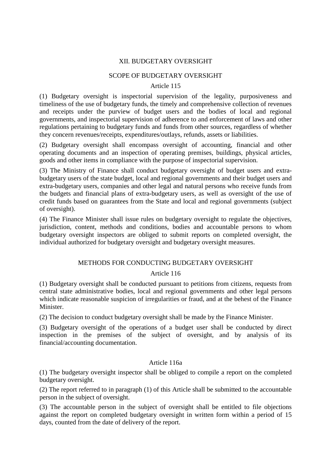# XII. BUDGETARY OVERSIGHT

## SCOPE OF BUDGETARY OVERSIGHT

#### Article 115

(1) Budgetary oversight is inspectorial supervision of the legality, purposiveness and timeliness of the use of budgetary funds, the timely and comprehensive collection of revenues and receipts under the purview of budget users and the bodies of local and regional governments, and inspectorial supervision of adherence to and enforcement of laws and other regulations pertaining to budgetary funds and funds from other sources, regardless of whether they concern revenues/receipts, expenditures/outlays, refunds, assets or liabilities.

(2) Budgetary oversight shall encompass oversight of accounting, financial and other operating documents and an inspection of operating premises, buildings, physical articles, goods and other items in compliance with the purpose of inspectorial supervision.

(3) The Ministry of Finance shall conduct budgetary oversight of budget users and extrabudgetary users of the state budget, local and regional governments and their budget users and extra-budgetary users, companies and other legal and natural persons who receive funds from the budgets and financial plans of extra-budgetary users, as well as oversight of the use of credit funds based on guarantees from the State and local and regional governments (subject of oversight).

(4) The Finance Minister shall issue rules on budgetary oversight to regulate the objectives, jurisdiction, content, methods and conditions, bodies and accountable persons to whom budgetary oversight inspectors are obliged to submit reports on completed oversight, the individual authorized for budgetary oversight and budgetary oversight measures.

### METHODS FOR CONDUCTING BUDGETARY OVERSIGHT

### Article 116

(1) Budgetary oversight shall be conducted pursuant to petitions from citizens, requests from central state administrative bodies, local and regional governments and other legal persons which indicate reasonable suspicion of irregularities or fraud, and at the behest of the Finance Minister.

(2) The decision to conduct budgetary oversight shall be made by the Finance Minister.

(3) Budgetary oversight of the operations of a budget user shall be conducted by direct inspection in the premises of the subject of oversight, and by analysis of its financial/accounting documentation.

# Article 116a

(1) The budgetary oversight inspector shall be obliged to compile a report on the completed budgetary oversight.

(2) The report referred to in paragraph (1) of this Article shall be submitted to the accountable person in the subject of oversight.

(3) The accountable person in the subject of oversight shall be entitled to file objections against the report on completed budgetary oversight in written form within a period of 15 days, counted from the date of delivery of the report.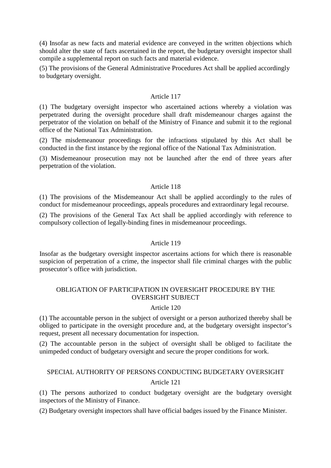(4) Insofar as new facts and material evidence are conveyed in the written objections which should alter the state of facts ascertained in the report, the budgetary oversight inspector shall compile a supplemental report on such facts and material evidence.

(5) The provisions of the General Administrative Procedures Act shall be applied accordingly to budgetary oversight.

### Article 117

(1) The budgetary oversight inspector who ascertained actions whereby a violation was perpetrated during the oversight procedure shall draft misdemeanour charges against the perpetrator of the violation on behalf of the Ministry of Finance and submit it to the regional office of the National Tax Administration.

(2) The misdemeanour proceedings for the infractions stipulated by this Act shall be conducted in the first instance by the regional office of the National Tax Administration.

(3) Misdemeanour prosecution may not be launched after the end of three years after perpetration of the violation.

### Article 118

(1) The provisions of the Misdemeanour Act shall be applied accordingly to the rules of conduct for misdemeanour proceedings, appeals procedures and extraordinary legal recourse.

(2) The provisions of the General Tax Act shall be applied accordingly with reference to compulsory collection of legally-binding fines in misdemeanour proceedings.

### Article 119

Insofar as the budgetary oversight inspector ascertains actions for which there is reasonable suspicion of perpetration of a crime, the inspector shall file criminal charges with the public prosecutor's office with jurisdiction.

# OBLIGATION OF PARTICIPATION IN OVERSIGHT PROCEDURE BY THE OVERSIGHT SUBJECT

### Article 120

(1) The accountable person in the subject of oversight or a person authorized thereby shall be obliged to participate in the oversight procedure and, at the budgetary oversight inspector's request, present all necessary documentation for inspection.

(2) The accountable person in the subject of oversight shall be obliged to facilitate the unimpeded conduct of budgetary oversight and secure the proper conditions for work.

# SPECIAL AUTHORITY OF PERSONS CONDUCTING BUDGETARY OVERSIGHT Article 121

(1) The persons authorized to conduct budgetary oversight are the budgetary oversight inspectors of the Ministry of Finance.

(2) Budgetary oversight inspectors shall have official badges issued by the Finance Minister.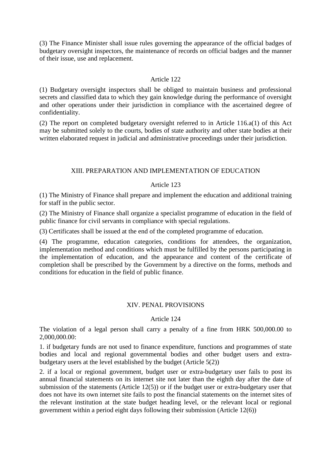(3) The Finance Minister shall issue rules governing the appearance of the official badges of budgetary oversight inspectors, the maintenance of records on official badges and the manner of their issue, use and replacement.

# Article 122

(1) Budgetary oversight inspectors shall be obliged to maintain business and professional secrets and classified data to which they gain knowledge during the performance of oversight and other operations under their jurisdiction in compliance with the ascertained degree of confidentiality.

(2) The report on completed budgetary oversight referred to in Article 116.a(1) of this Act may be submitted solely to the courts, bodies of state authority and other state bodies at their written elaborated request in judicial and administrative proceedings under their jurisdiction.

# XIII. PREPARATION AND IMPLEMENTATION OF EDUCATION

# Article 123

(1) The Ministry of Finance shall prepare and implement the education and additional training for staff in the public sector.

(2) The Ministry of Finance shall organize a specialist programme of education in the field of public finance for civil servants in compliance with special regulations.

(3) Certificates shall be issued at the end of the completed programme of education.

(4) The programme, education categories, conditions for attendees, the organization, implementation method and conditions which must be fulfilled by the persons participating in the implementation of education, and the appearance and content of the certificate of completion shall be prescribed by the Government by a directive on the forms, methods and conditions for education in the field of public finance.

# XIV. PENAL PROVISIONS

### Article 124

The violation of a legal person shall carry a penalty of a fine from HRK 500,000.00 to 2,000,000.00:

1. if budgetary funds are not used to finance expenditure, functions and programmes of state bodies and local and regional governmental bodies and other budget users and extrabudgetary users at the level established by the budget (Article 5(2))

2. if a local or regional government, budget user or extra-budgetary user fails to post its annual financial statements on its internet site not later than the eighth day after the date of submission of the statements (Article  $12(5)$ ) or if the budget user or extra-budgetary user that does not have its own internet site fails to post the financial statements on the internet sites of the relevant institution at the state budget heading level, or the relevant local or regional government within a period eight days following their submission (Article 12(6))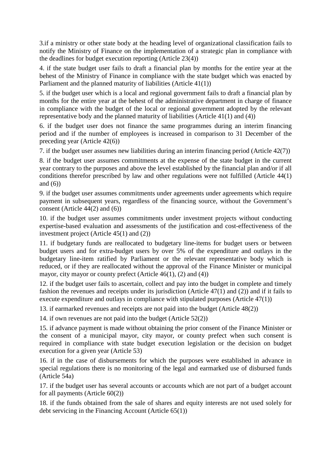3.if a ministry or other state body at the heading level of organizational classification fails to notify the Ministry of Finance on the implementation of a strategic plan in compliance with the deadlines for budget execution reporting (Article 23(4))

4. if the state budget user fails to draft a financial plan by months for the entire year at the behest of the Ministry of Finance in compliance with the state budget which was enacted by Parliament and the planned maturity of liabilities (Article 41(1))

5. if the budget user which is a local and regional government fails to draft a financial plan by months for the entire year at the behest of the administrative department in charge of finance in compliance with the budget of the local or regional government adopted by the relevant representative body and the planned maturity of liabilities (Article 41(1) and (4))

6. if the budget user does not finance the same programmes during an interim financing period and if the number of employees is increased in comparison to 31 December of the preceding year (Article 42(6))

7. if the budget user assumes new liabilities during an interim financing period (Article 42(7))

8. if the budget user assumes commitments at the expense of the state budget in the current year contrary to the purposes and above the level established by the financial plan and/or if all conditions therefor prescribed by law and other regulations were not fulfilled (Article 44(1) and  $(6)$ )

9. if the budget user assumes commitments under agreements under agreements which require payment in subsequent years, regardless of the financing source, without the Government's consent (Article 44(2) and (6))

10. if the budget user assumes commitments under investment projects without conducting expertise-based evaluation and assessments of the justification and cost-effectiveness of the investment project (Article 45(1) and (2))

11. if budgetary funds are reallocated to budgetary line-items for budget users or between budget users and for extra-budget users by over 5% of the expenditure and outlays in the budgetary line-item ratified by Parliament or the relevant representative body which is reduced, or if they are reallocated without the approval of the Finance Minister or municipal mayor, city mayor or county prefect (Article 46(1), (2) and (4))

12. if the budget user fails to ascertain, collect and pay into the budget in complete and timely fashion the revenues and receipts under its jurisdiction (Article 47(1) and (2)) and if it fails to execute expenditure and outlays in compliance with stipulated purposes (Article 47(1))

13. if earmarked revenues and receipts are not paid into the budget (Article 48(2))

14. if own revenues are not paid into the budget (Article 52(2))

15. if advance payment is made without obtaining the prior consent of the Finance Minister or the consent of a municipal mayor, city mayor, or county prefect when such consent is required in compliance with state budget execution legislation or the decision on budget execution for a given year (Article 53)

16. if in the case of disbursements for which the purposes were established in advance in special regulations there is no monitoring of the legal and earmarked use of disbursed funds (Article 54a)

17. if the budget user has several accounts or accounts which are not part of a budget account for all payments (Article 60(2))

18. if the funds obtained from the sale of shares and equity interests are not used solely for debt servicing in the Financing Account (Article 65(1))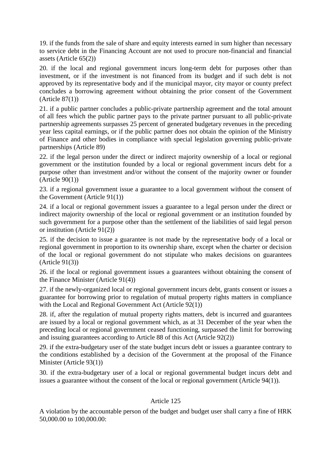19. if the funds from the sale of share and equity interests earned in sum higher than necessary to service debt in the Financing Account are not used to procure non-financial and financial assets (Article 65(2))

20. if the local and regional government incurs long-term debt for purposes other than investment, or if the investment is not financed from its budget and if such debt is not approved by its representative body and if the municipal mayor, city mayor or county prefect concludes a borrowing agreement without obtaining the prior consent of the Government  $(A$ rticle  $87(1)$ 

21. if a public partner concludes a public-private partnership agreement and the total amount of all fees which the public partner pays to the private partner pursuant to all public-private partnership agreements surpasses 25 percent of generated budgetary revenues in the preceding year less capital earnings, or if the public partner does not obtain the opinion of the Ministry of Finance and other bodies in compliance with special legislation governing public-private partnerships (Article 89)

22. if the legal person under the direct or indirect majority ownership of a local or regional government or the institution founded by a local or regional government incurs debt for a purpose other than investment and/or without the consent of the majority owner or founder (Article 90(1))

23. if a regional government issue a guarantee to a local government without the consent of the Government (Article 91(1))

24. if a local or regional government issues a guarantee to a legal person under the direct or indirect majority ownership of the local or regional government or an institution founded by such government for a purpose other than the settlement of the liabilities of said legal person or institution (Article 91(2))

25. if the decision to issue a guarantee is not made by the representative body of a local or regional government in proportion to its ownership share, except when the charter or decision of the local or regional government do not stipulate who makes decisions on guarantees (Article 91(3))

26. if the local or regional government issues a guarantees without obtaining the consent of the Finance Minister (Article 91(4))

27. if the newly-organized local or regional government incurs debt, grants consent or issues a guarantee for borrowing prior to regulation of mutual property rights matters in compliance with the Local and Regional Government Act (Article 92(1))

28. if, after the regulation of mutual property rights matters, debt is incurred and guarantees are issued by a local or regional government which, as at 31 December of the year when the preceding local or regional government ceased functioning, surpassed the limit for borrowing and issuing guarantees according to Article 88 of this Act (Article 92(2))

29. if the extra-budgetary user of the state budget incurs debt or issues a guarantee contrary to the conditions established by a decision of the Government at the proposal of the Finance Minister (Article 93(1))

30. if the extra-budgetary user of a local or regional governmental budget incurs debt and issues a guarantee without the consent of the local or regional government (Article 94(1)).

# Article 125

A violation by the accountable person of the budget and budget user shall carry a fine of HRK 50,000.00 to 100,000.00: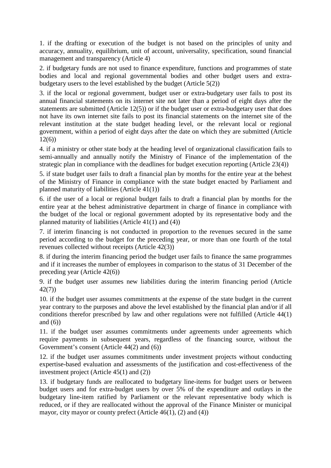1. if the drafting or execution of the budget is not based on the principles of unity and accuracy, annuality, equilibrium, unit of account, universality, specification, sound financial management and transparency (Article 4)

2. if budgetary funds are not used to finance expenditure, functions and programmes of state bodies and local and regional governmental bodies and other budget users and extrabudgetary users to the level established by the budget (Article 5(2))

3. if the local or regional government, budget user or extra-budgetary user fails to post its annual financial statements on its internet site not later than a period of eight days after the statements are submitted (Article 12(5)) or if the budget user or extra-budgetary user that does not have its own internet site fails to post its financial statements on the internet site of the relevant institution at the state budget heading level, or the relevant local or regional government, within a period of eight days after the date on which they are submitted (Article 12(6))

4. if a ministry or other state body at the heading level of organizational classification fails to semi-annually and annually notify the Ministry of Finance of the implementation of the strategic plan in compliance with the deadlines for budget execution reporting (Article 23(4))

5. if state budget user fails to draft a financial plan by months for the entire year at the behest of the Ministry of Finance in compliance with the state budget enacted by Parliament and planned maturity of liabilities (Article 41(1))

6. if the user of a local or regional budget fails to draft a financial plan by months for the entire year at the behest administrative department in charge of finance in compliance with the budget of the local or regional government adopted by its representative body and the planned maturity of liabilities (Article 41(1) and (4))

7. if interim financing is not conducted in proportion to the revenues secured in the same period according to the budget for the preceding year, or more than one fourth of the total revenues collected without receipts (Article 42(3))

8. if during the interim financing period the budget user fails to finance the same programmes and if it increases the number of employees in comparison to the status of 31 December of the preceding year (Article 42(6))

9. if the budget user assumes new liabilities during the interim financing period (Article 42(7))

10. if the budget user assumes commitments at the expense of the state budget in the current year contrary to the purposes and above the level established by the financial plan and/or if all conditions therefor prescribed by law and other regulations were not fulfilled (Article 44(1) and  $(6)$ )

11. if the budget user assumes commitments under agreements under agreements which require payments in subsequent years, regardless of the financing source, without the Government's consent (Article 44(2) and (6))

12. if the budget user assumes commitments under investment projects without conducting expertise-based evaluation and assessments of the justification and cost-effectiveness of the investment project (Article 45(1) and (2))

13. if budgetary funds are reallocated to budgetary line-items for budget users or between budget users and for extra-budget users by over 5% of the expenditure and outlays in the budgetary line-item ratified by Parliament or the relevant representative body which is reduced, or if they are reallocated without the approval of the Finance Minister or municipal mayor, city mayor or county prefect (Article 46(1), (2) and (4))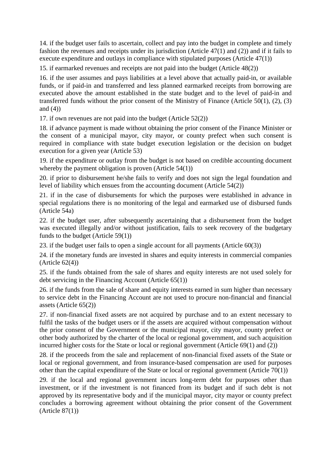14. if the budget user fails to ascertain, collect and pay into the budget in complete and timely fashion the revenues and receipts under its jurisdiction (Article 47(1) and (2)) and if it fails to execute expenditure and outlays in compliance with stipulated purposes (Article 47(1))

15. if earmarked revenues and receipts are not paid into the budget (Article 48(2))

16. if the user assumes and pays liabilities at a level above that actually paid-in, or available funds, or if paid-in and transferred and less planned earmarked receipts from borrowing are executed above the amount established in the state budget and to the level of paid-in and transferred funds without the prior consent of the Ministry of Finance (Article 50(1), (2), (3) and  $(4)$ )

17. if own revenues are not paid into the budget (Article 52(2))

18. if advance payment is made without obtaining the prior consent of the Finance Minister or the consent of a municipal mayor, city mayor, or county prefect when such consent is required in compliance with state budget execution legislation or the decision on budget execution for a given year (Article 53)

19. if the expenditure or outlay from the budget is not based on credible accounting document whereby the payment obligation is proven (Article 54(1))

20. if prior to disbursement he/she fails to verify and does not sign the legal foundation and level of liability which ensues from the accounting document (Article 54(2))

21. if in the case of disbursements for which the purposes were established in advance in special regulations there is no monitoring of the legal and earmarked use of disbursed funds (Article 54a)

22. if the budget user, after subsequently ascertaining that a disbursement from the budget was executed illegally and/or without justification, fails to seek recovery of the budgetary funds to the budget (Article 59(1))

23. if the budget user fails to open a single account for all payments (Article 60(3))

24. if the monetary funds are invested in shares and equity interests in commercial companies  $(A<sup>rt</sup>icle 62(4))$ 

25. if the funds obtained from the sale of shares and equity interests are not used solely for debt servicing in the Financing Account (Article 65(1))

26. if the funds from the sale of share and equity interests earned in sum higher than necessary to service debt in the Financing Account are not used to procure non-financial and financial assets (Article 65(2))

27. if non-financial fixed assets are not acquired by purchase and to an extent necessary to fulfil the tasks of the budget users or if the assets are acquired without compensation without the prior consent of the Government or the municipal mayor, city mayor, county prefect or other body authorized by the charter of the local or regional government, and such acquisition incurred higher costs for the State or local or regional government (Article 69(1) and (2))

28. if the proceeds from the sale and replacement of non-financial fixed assets of the State or local or regional government, and from insurance-based compensation are used for purposes other than the capital expenditure of the State or local or regional government (Article 70(1))

29. if the local and regional government incurs long-term debt for purposes other than investment, or if the investment is not financed from its budget and if such debt is not approved by its representative body and if the municipal mayor, city mayor or county prefect concludes a borrowing agreement without obtaining the prior consent of the Government  $(A<sup>rt</sup>icle 87(1))$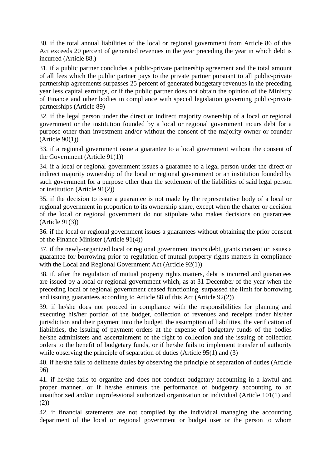30. if the total annual liabilities of the local or regional government from Article 86 of this Act exceeds 20 percent of generated revenues in the year preceding the year in which debt is incurred (Article 88.)

31. if a public partner concludes a public-private partnership agreement and the total amount of all fees which the public partner pays to the private partner pursuant to all public-private partnership agreements surpasses 25 percent of generated budgetary revenues in the preceding year less capital earnings, or if the public partner does not obtain the opinion of the Ministry of Finance and other bodies in compliance with special legislation governing public-private partnerships (Article 89)

32. if the legal person under the direct or indirect majority ownership of a local or regional government or the institution founded by a local or regional government incurs debt for a purpose other than investment and/or without the consent of the majority owner or founder  $(A<sup>rt</sup>icle 90(1))$ 

33. if a regional government issue a guarantee to a local government without the consent of the Government (Article 91(1))

34. if a local or regional government issues a guarantee to a legal person under the direct or indirect majority ownership of the local or regional government or an institution founded by such government for a purpose other than the settlement of the liabilities of said legal person or institution (Article 91(2))

35. if the decision to issue a guarantee is not made by the representative body of a local or regional government in proportion to its ownership share, except when the charter or decision of the local or regional government do not stipulate who makes decisions on guarantees (Article 91(3))

36. if the local or regional government issues a guarantees without obtaining the prior consent of the Finance Minister (Article 91(4))

37. if the newly-organized local or regional government incurs debt, grants consent or issues a guarantee for borrowing prior to regulation of mutual property rights matters in compliance with the Local and Regional Government Act (Article 92(1))

38. if, after the regulation of mutual property rights matters, debt is incurred and guarantees are issued by a local or regional government which, as at 31 December of the year when the preceding local or regional government ceased functioning, surpassed the limit for borrowing and issuing guarantees according to Article 88 of this Act (Article 92(2))

39. if he/she does not proceed in compliance with the responsibilities for planning and executing his/her portion of the budget, collection of revenues and receipts under his/her jurisdiction and their payment into the budget, the assumption of liabilities, the verification of liabilities, the issuing of payment orders at the expense of budgetary funds of the bodies he/she administers and ascertainment of the right to collection and the issuing of collection orders to the benefit of budgetary funds, or if he/she fails to implement transfer of authority while observing the principle of separation of duties (Article 95(1) and (3)

40. if he/she fails to delineate duties by observing the principle of separation of duties (Article 96)

41. if he/she fails to organize and does not conduct budgetary accounting in a lawful and proper manner, or if he/she entrusts the performance of budgetary accounting to an unauthorized and/or unprofessional authorized organization or individual (Article 101(1) and (2))

42. if financial statements are not compiled by the individual managing the accounting department of the local or regional government or budget user or the person to whom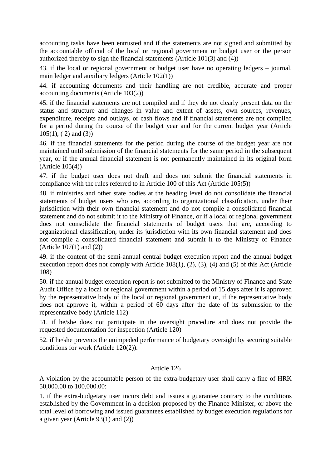accounting tasks have been entrusted and if the statements are not signed and submitted by the accountable official of the local or regional government or budget user or the person authorized thereby to sign the financial statements (Article 101(3) and (4))

43. if the local or regional government or budget user have no operating ledgers – journal, main ledger and auxiliary ledgers (Article 102(1))

44. if accounting documents and their handling are not credible, accurate and proper accounting documents (Article 103(2))

45. if the financial statements are not compiled and if they do not clearly present data on the status and structure and changes in value and extent of assets, own sources, revenues, expenditure, receipts and outlays, or cash flows and if financial statements are not compiled for a period during the course of the budget year and for the current budget year (Article 105(1), ( 2) and (3))

46. if the financial statements for the period during the course of the budget year are not maintained until submission of the financial statements for the same period in the subsequent year, or if the annual financial statement is not permanently maintained in its original form (Article 105(4))

47. if the budget user does not draft and does not submit the financial statements in compliance with the rules referred to in Article 100 of this Act (Article 105(5))

48. if ministries and other state bodies at the heading level do not consolidate the financial statements of budget users who are, according to organizational classification, under their jurisdiction with their own financial statement and do not compile a consolidated financial statement and do not submit it to the Ministry of Finance, or if a local or regional government does not consolidate the financial statements of budget users that are, according to organizational classification, under its jurisdiction with its own financial statement and does not compile a consolidated financial statement and submit it to the Ministry of Finance (Article 107(1) and (2))

49. if the content of the semi-annual central budget execution report and the annual budget execution report does not comply with Article 108(1), (2), (3), (4) and (5) of this Act (Article 108)

50. if the annual budget execution report is not submitted to the Ministry of Finance and State Audit Office by a local or regional government within a period of 15 days after it is approved by the representative body of the local or regional government or, if the representative body does not approve it, within a period of 60 days after the date of its submission to the representative body (Article 112)

51. if he/she does not participate in the oversight procedure and does not provide the requested documentation for inspection (Article 120)

52. if he/she prevents the unimpeded performance of budgetary oversight by securing suitable conditions for work (Article 120(2)).

### Article 126

A violation by the accountable person of the extra-budgetary user shall carry a fine of HRK 50,000.00 to 100,000.00:

1. if the extra-budgetary user incurs debt and issues a guarantee contrary to the conditions established by the Government in a decision proposed by the Finance Minister, or above the total level of borrowing and issued guarantees established by budget execution regulations for a given year (Article  $93(1)$  and (2))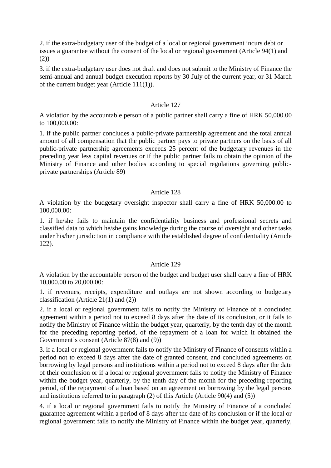2. if the extra-budgetary user of the budget of a local or regional government incurs debt or issues a guarantee without the consent of the local or regional government (Article 94(1) and  $(2)$ 

3. if the extra-budgetary user does not draft and does not submit to the Ministry of Finance the semi-annual and annual budget execution reports by 30 July of the current year, or 31 March of the current budget year (Article 111(1)).

### Article 127

A violation by the accountable person of a public partner shall carry a fine of HRK 50,000.00 to 100,000.00:

1. if the public partner concludes a public-private partnership agreement and the total annual amount of all compensation that the public partner pays to private partners on the basis of all public-private partnership agreements exceeds 25 percent of the budgetary revenues in the preceding year less capital revenues or if the public partner fails to obtain the opinion of the Ministry of Finance and other bodies according to special regulations governing publicprivate partnerships (Article 89)

### Article 128

A violation by the budgetary oversight inspector shall carry a fine of HRK 50,000.00 to 100,000.00:

1. if he/she fails to maintain the confidentiality business and professional secrets and classified data to which he/she gains knowledge during the course of oversight and other tasks under his/her jurisdiction in compliance with the established degree of confidentiality (Article 122).

# Article 129

A violation by the accountable person of the budget and budget user shall carry a fine of HRK 10,000.00 to 20,000.00:

1. if revenues, receipts, expenditure and outlays are not shown according to budgetary classification (Article 21(1) and (2))

2. if a local or regional government fails to notify the Ministry of Finance of a concluded agreement within a period not to exceed 8 days after the date of its conclusion, or it fails to notify the Ministry of Finance within the budget year, quarterly, by the tenth day of the month for the preceding reporting period, of the repayment of a loan for which it obtained the Government's consent (Article 87(8) and (9))

3. if a local or regional government fails to notify the Ministry of Finance of consents within a period not to exceed 8 days after the date of granted consent, and concluded agreements on borrowing by legal persons and institutions within a period not to exceed 8 days after the date of their conclusion or if a local or regional government fails to notify the Ministry of Finance within the budget year, quarterly, by the tenth day of the month for the preceding reporting period, of the repayment of a loan based on an agreement on borrowing by the legal persons and institutions referred to in paragraph (2) of this Article (Article 90(4) and (5))

4. if a local or regional government fails to notify the Ministry of Finance of a concluded guarantee agreement within a period of 8 days after the date of its conclusion or if the local or regional government fails to notify the Ministry of Finance within the budget year, quarterly,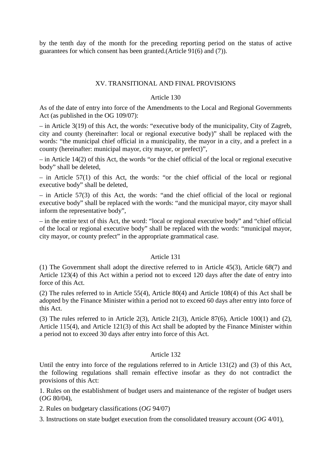by the tenth day of the month for the preceding reporting period on the status of active guarantees for which consent has been granted.(Article 91(6) and (7)).

### XV. TRANSITIONAL AND FINAL PROVISIONS

### Article 130

As of the date of entry into force of the Amendments to the Local and Regional Governments Act (as published in the OG 109/07):

– in Article 3(19) of this Act, the words: "executive body of the municipality, City of Zagreb, city and county (hereinafter: local or regional executive body)" shall be replaced with the words: "the municipal chief official in a municipality, the mayor in a city, and a prefect in a county (hereinafter: municipal mayor, city mayor, or prefect)",

– in Article 14(2) of this Act, the words "or the chief official of the local or regional executive body" shall be deleted,

– in Article 57(1) of this Act, the words: "or the chief official of the local or regional executive body" shall be deleted,

– in Article 57(3) of this Act, the words: "and the chief official of the local or regional executive body" shall be replaced with the words: "and the municipal mayor, city mayor shall inform the representative body",

– in the entire text of this Act, the word: "local or regional executive body" and "chief official of the local or regional executive body" shall be replaced with the words: "municipal mayor, city mayor, or county prefect" in the appropriate grammatical case.

### Article 131

(1) The Government shall adopt the directive referred to in Article 45(3), Article 68(7) and Article 123(4) of this Act within a period not to exceed 120 days after the date of entry into force of this Act.

(2) The rules referred to in Article 55(4), Article 80(4) and Article 108(4) of this Act shall be adopted by the Finance Minister within a period not to exceed 60 days after entry into force of this Act.

(3) The rules referred to in Article 2(3), Article 21(3), Article 87(6), Article 100(1) and (2), Article 115(4), and Article 121(3) of this Act shall be adopted by the Finance Minister within a period not to exceed 30 days after entry into force of this Act.

### Article 132

Until the entry into force of the regulations referred to in Article 131(2) and (3) of this Act, the following regulations shall remain effective insofar as they do not contradict the provisions of this Act:

1. Rules on the establishment of budget users and maintenance of the register of budget users (*OG* 80/04),

2. Rules on budgetary classifications (*OG* 94/07)

3. Instructions on state budget execution from the consolidated treasury account (*OG* 4/01),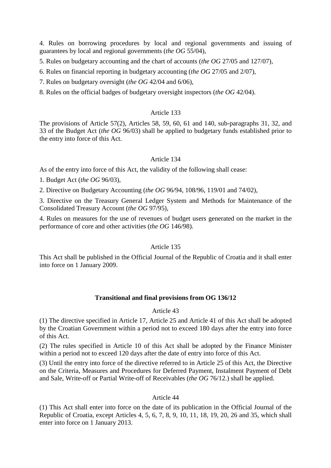4. Rules on borrowing procedures by local and regional governments and issuing of guarantees by local and regional governments (*the OG* 55/04),

5. Rules on budgetary accounting and the chart of accounts (*the OG* 27/05 and 127/07),

6. Rules on financial reporting in budgetary accounting (*the OG* 27/05 and 2/07),

7. Rules on budgetary oversight (*the OG* 42/04 and 6/06),

8. Rules on the official badges of budgetary oversight inspectors (*the OG* 42/04).

## Article 133

The provisions of Article 57(2), Articles 58, 59, 60, 61 and 140, sub-paragraphs 31, 32, and 33 of the Budget Act (*the OG* 96/03) shall be applied to budgetary funds established prior to the entry into force of this Act.

# Article 134

As of the entry into force of this Act, the validity of the following shall cease:

1. Budget Act (*the OG* 96/03),

2. Directive on Budgetary Accounting (*the OG* 96/94, 108/96, 119/01 and 74/02),

3. Directive on the Treasury General Ledger System and Methods for Maintenance of the Consolidated Treasury Account (*the OG* 97/95),

4. Rules on measures for the use of revenues of budget users generated on the market in the performance of core and other activities (*the OG* 146/98).

### Article 135

This Act shall be published in the Official Journal of the Republic of Croatia and it shall enter into force on 1 January 2009.

# **Transitional and final provisions from OG 136/12**

### Article 43

(1) The directive specified in Article 17, Article 25 and Article 41 of this Act shall be adopted by the Croatian Government within a period not to exceed 180 days after the entry into force of this Act.

(2) The rules specified in Article 10 of this Act shall be adopted by the Finance Minister within a period not to exceed 120 days after the date of entry into force of this Act.

(3) Until the entry into force of the directive referred to in Article 25 of this Act, the Directive on the Criteria, Measures and Procedures for Deferred Payment, Instalment Payment of Debt and Sale, Write-off or Partial Write-off of Receivables (*the OG* 76/12.) shall be applied.

### Article 44

(1) This Act shall enter into force on the date of its publication in the Official Journal of the Republic of Croatia, except Articles 4, 5, 6, 7, 8, 9, 10, 11, 18, 19, 20, 26 and 35, which shall enter into force on 1 January 2013.